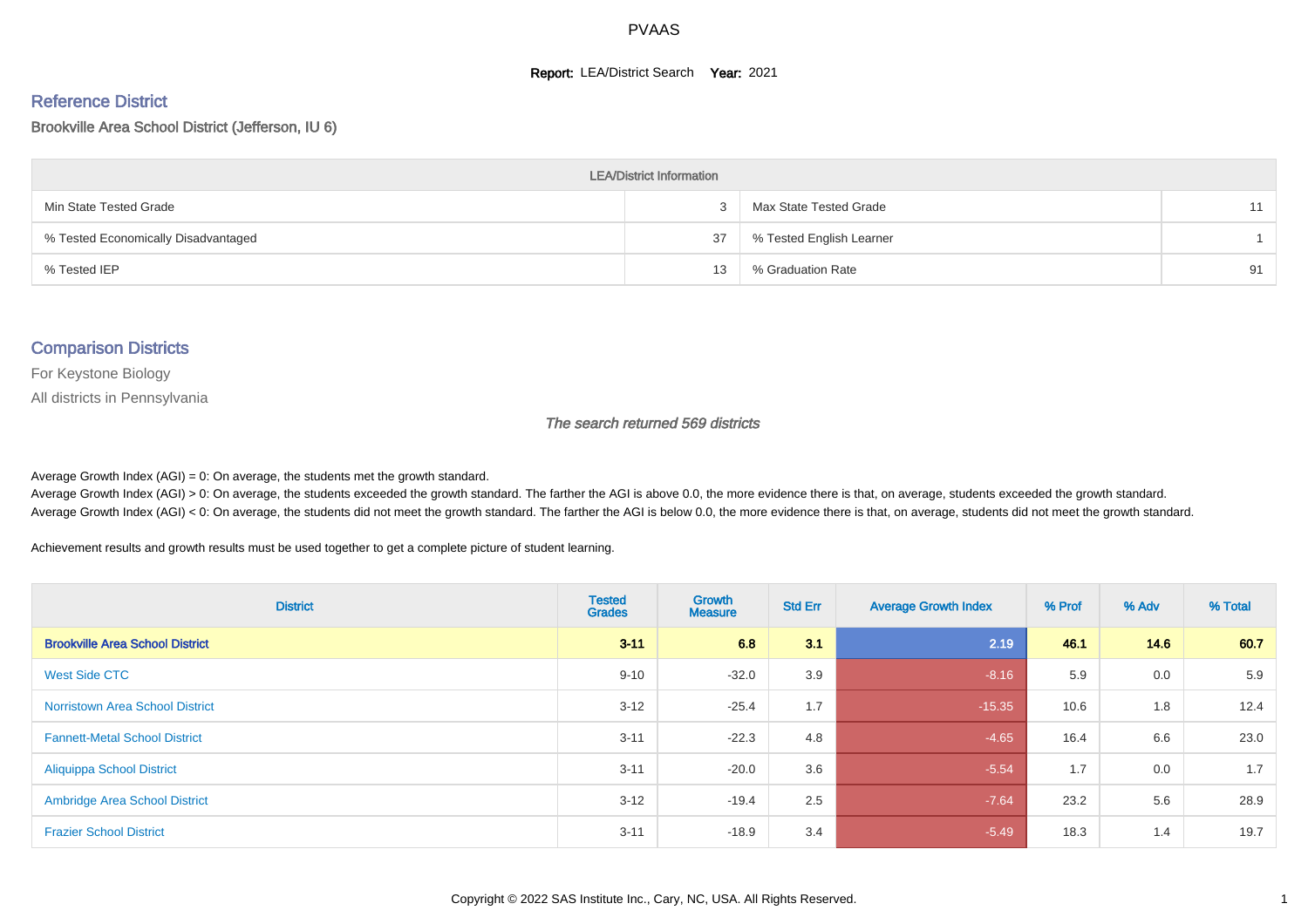#### **Report: LEA/District Search Year: 2021**

# Reference District

#### Brookville Area School District (Jefferson, IU 6)

| <b>LEA/District Information</b>     |    |                          |    |  |  |  |  |  |  |  |
|-------------------------------------|----|--------------------------|----|--|--|--|--|--|--|--|
| Min State Tested Grade              |    | Max State Tested Grade   | 11 |  |  |  |  |  |  |  |
| % Tested Economically Disadvantaged | 37 | % Tested English Learner |    |  |  |  |  |  |  |  |
| % Tested IEP                        | 13 | % Graduation Rate        | 91 |  |  |  |  |  |  |  |

#### Comparison Districts

For Keystone Biology

All districts in Pennsylvania

The search returned 569 districts

Average Growth Index  $(AGI) = 0$ : On average, the students met the growth standard.

Average Growth Index (AGI) > 0: On average, the students exceeded the growth standard. The farther the AGI is above 0.0, the more evidence there is that, on average, students exceeded the growth standard. Average Growth Index (AGI) < 0: On average, the students did not meet the growth standard. The farther the AGI is below 0.0, the more evidence there is that, on average, students did not meet the growth standard.

Achievement results and growth results must be used together to get a complete picture of student learning.

| <b>District</b>                        | <b>Tested</b><br><b>Grades</b> | <b>Growth</b><br><b>Measure</b> | <b>Std Err</b> | <b>Average Growth Index</b> | % Prof | % Adv | % Total |
|----------------------------------------|--------------------------------|---------------------------------|----------------|-----------------------------|--------|-------|---------|
| <b>Brookville Area School District</b> | $3 - 11$                       | 6.8                             | 3.1            | 2.19                        | 46.1   | 14.6  | 60.7    |
| <b>West Side CTC</b>                   | $9 - 10$                       | $-32.0$                         | 3.9            | $-8.16$                     | 5.9    | 0.0   | 5.9     |
| <b>Norristown Area School District</b> | $3 - 12$                       | $-25.4$                         | 1.7            | $-15.35$                    | 10.6   | 1.8   | 12.4    |
| <b>Fannett-Metal School District</b>   | $3 - 11$                       | $-22.3$                         | 4.8            | $-4.65$                     | 16.4   | 6.6   | 23.0    |
| <b>Aliquippa School District</b>       | $3 - 11$                       | $-20.0$                         | 3.6            | $-5.54$                     | 1.7    | 0.0   | 1.7     |
| <b>Ambridge Area School District</b>   | $3 - 12$                       | $-19.4$                         | 2.5            | $-7.64$                     | 23.2   | 5.6   | 28.9    |
| <b>Frazier School District</b>         | $3 - 11$                       | $-18.9$                         | 3.4            | $-5.49$                     | 18.3   | 1.4   | 19.7    |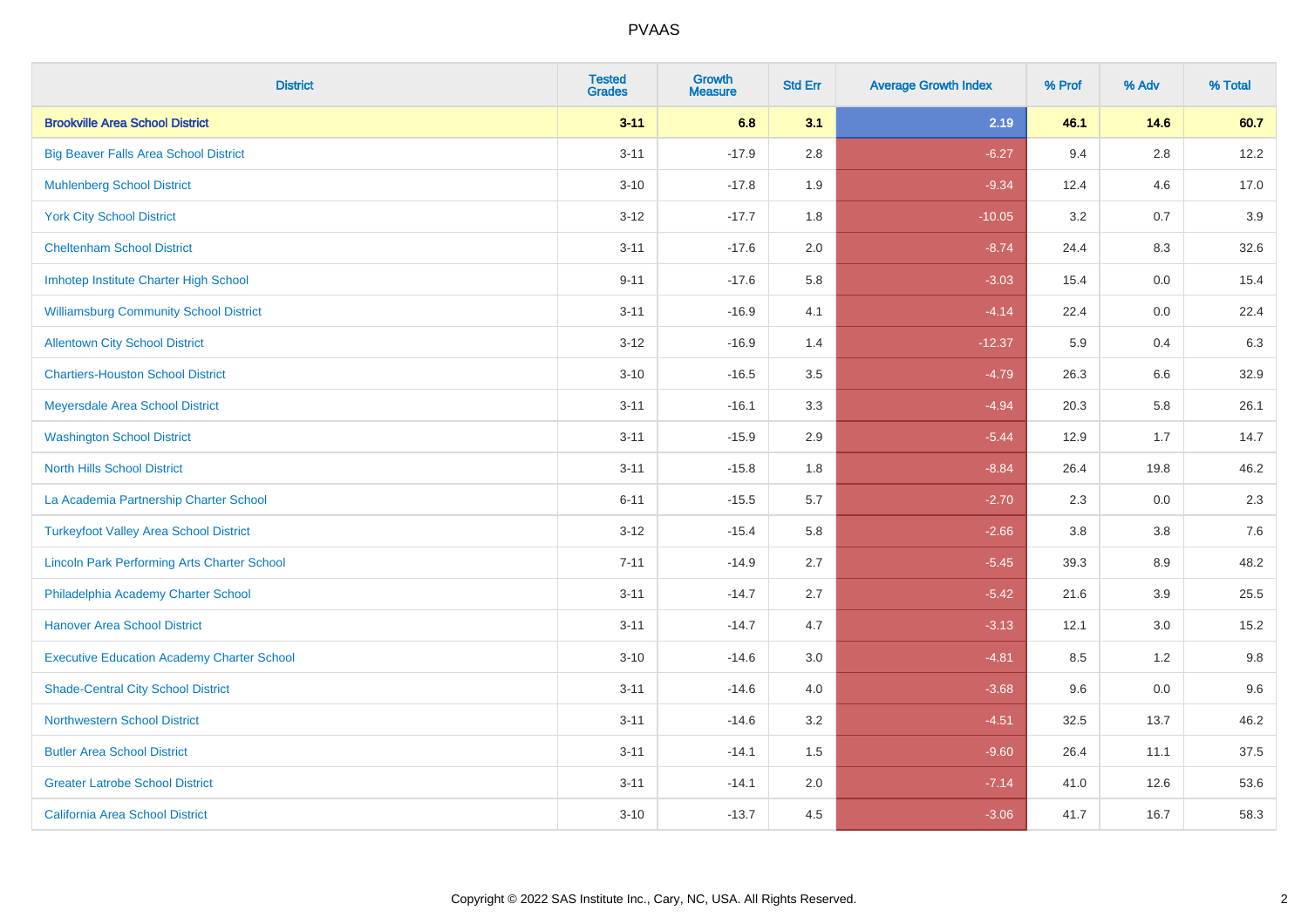| <b>District</b>                                    | <b>Tested</b><br><b>Grades</b> | <b>Growth</b><br><b>Measure</b> | <b>Std Err</b> | <b>Average Growth Index</b> | % Prof | % Adv   | % Total |
|----------------------------------------------------|--------------------------------|---------------------------------|----------------|-----------------------------|--------|---------|---------|
| <b>Brookville Area School District</b>             | $3 - 11$                       | 6.8                             | 3.1            | 2.19                        | 46.1   | 14.6    | 60.7    |
| <b>Big Beaver Falls Area School District</b>       | $3 - 11$                       | $-17.9$                         | 2.8            | $-6.27$                     | 9.4    | 2.8     | 12.2    |
| <b>Muhlenberg School District</b>                  | $3 - 10$                       | $-17.8$                         | 1.9            | $-9.34$                     | 12.4   | 4.6     | 17.0    |
| <b>York City School District</b>                   | $3 - 12$                       | $-17.7$                         | 1.8            | $-10.05$                    | 3.2    | 0.7     | 3.9     |
| <b>Cheltenham School District</b>                  | $3 - 11$                       | $-17.6$                         | 2.0            | $-8.74$                     | 24.4   | 8.3     | 32.6    |
| Imhotep Institute Charter High School              | $9 - 11$                       | $-17.6$                         | 5.8            | $-3.03$                     | 15.4   | 0.0     | 15.4    |
| <b>Williamsburg Community School District</b>      | $3 - 11$                       | $-16.9$                         | 4.1            | $-4.14$                     | 22.4   | 0.0     | 22.4    |
| <b>Allentown City School District</b>              | $3 - 12$                       | $-16.9$                         | 1.4            | $-12.37$                    | 5.9    | 0.4     | 6.3     |
| <b>Chartiers-Houston School District</b>           | $3 - 10$                       | $-16.5$                         | 3.5            | $-4.79$                     | 26.3   | 6.6     | 32.9    |
| Meyersdale Area School District                    | $3 - 11$                       | $-16.1$                         | 3.3            | $-4.94$                     | 20.3   | 5.8     | 26.1    |
| <b>Washington School District</b>                  | $3 - 11$                       | $-15.9$                         | 2.9            | $-5.44$                     | 12.9   | 1.7     | 14.7    |
| <b>North Hills School District</b>                 | $3 - 11$                       | $-15.8$                         | 1.8            | $-8.84$                     | 26.4   | 19.8    | 46.2    |
| La Academia Partnership Charter School             | $6 - 11$                       | $-15.5$                         | 5.7            | $-2.70$                     | 2.3    | 0.0     | 2.3     |
| <b>Turkeyfoot Valley Area School District</b>      | $3 - 12$                       | $-15.4$                         | 5.8            | $-2.66$                     | 3.8    | $3.8\,$ | 7.6     |
| <b>Lincoln Park Performing Arts Charter School</b> | $7 - 11$                       | $-14.9$                         | 2.7            | $-5.45$                     | 39.3   | 8.9     | 48.2    |
| Philadelphia Academy Charter School                | $3 - 11$                       | $-14.7$                         | 2.7            | $-5.42$                     | 21.6   | 3.9     | 25.5    |
| <b>Hanover Area School District</b>                | $3 - 11$                       | $-14.7$                         | 4.7            | $-3.13$                     | 12.1   | 3.0     | 15.2    |
| <b>Executive Education Academy Charter School</b>  | $3 - 10$                       | $-14.6$                         | 3.0            | $-4.81$                     | 8.5    | 1.2     | 9.8     |
| <b>Shade-Central City School District</b>          | $3 - 11$                       | $-14.6$                         | 4.0            | $-3.68$                     | 9.6    | 0.0     | 9.6     |
| <b>Northwestern School District</b>                | $3 - 11$                       | $-14.6$                         | 3.2            | $-4.51$                     | 32.5   | 13.7    | 46.2    |
| <b>Butler Area School District</b>                 | $3 - 11$                       | $-14.1$                         | 1.5            | $-9.60$                     | 26.4   | 11.1    | 37.5    |
| <b>Greater Latrobe School District</b>             | $3 - 11$                       | $-14.1$                         | 2.0            | $-7.14$                     | 41.0   | 12.6    | 53.6    |
| <b>California Area School District</b>             | $3 - 10$                       | $-13.7$                         | 4.5            | $-3.06$                     | 41.7   | 16.7    | 58.3    |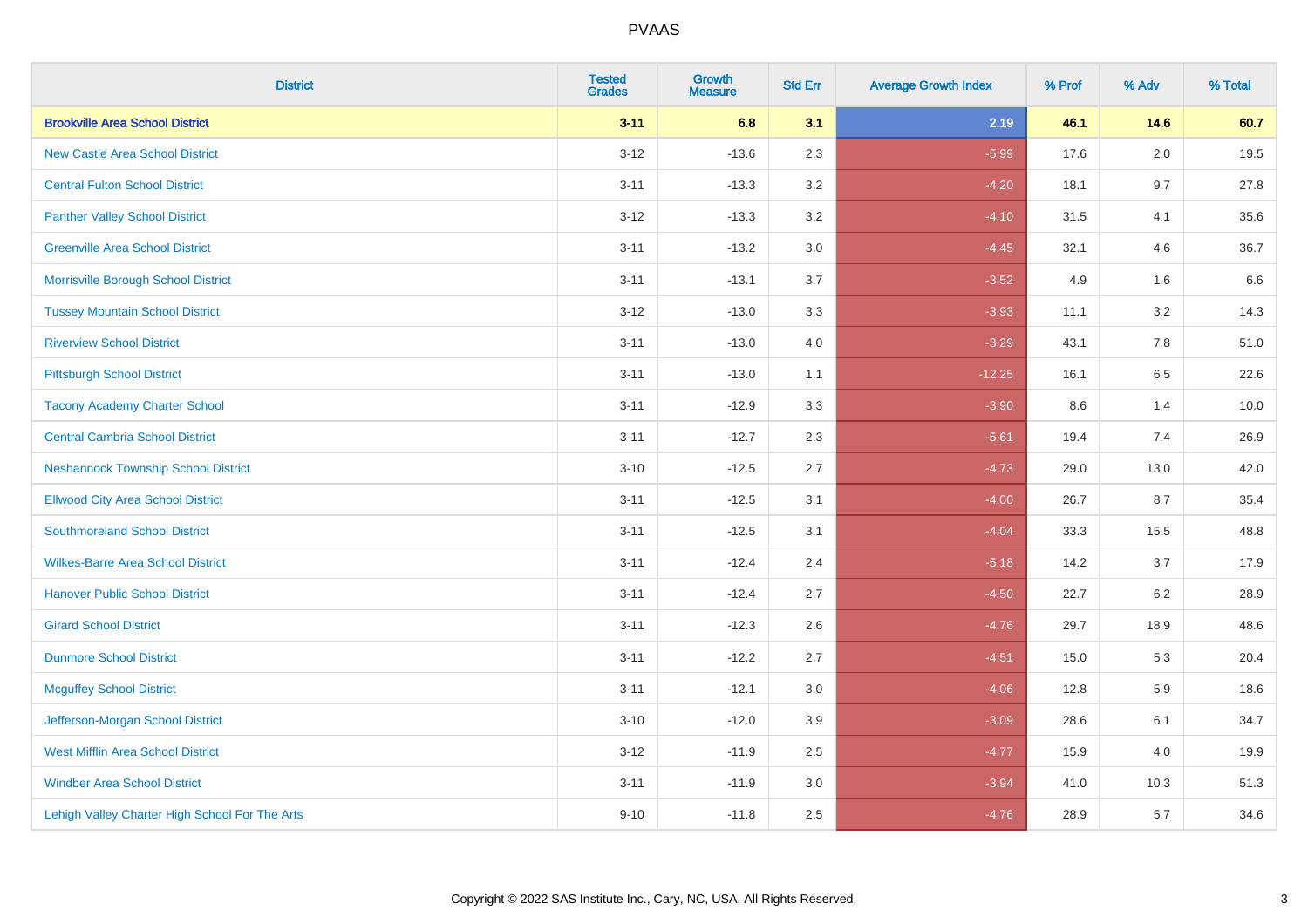| <b>District</b>                                | <b>Tested</b><br><b>Grades</b> | <b>Growth</b><br><b>Measure</b> | <b>Std Err</b> | <b>Average Growth Index</b> | % Prof | % Adv   | % Total |
|------------------------------------------------|--------------------------------|---------------------------------|----------------|-----------------------------|--------|---------|---------|
| <b>Brookville Area School District</b>         | $3 - 11$                       | 6.8                             | 3.1            | 2.19                        | 46.1   | 14.6    | 60.7    |
| <b>New Castle Area School District</b>         | $3 - 12$                       | $-13.6$                         | 2.3            | $-5.99$                     | 17.6   | $2.0\,$ | 19.5    |
| <b>Central Fulton School District</b>          | $3 - 11$                       | $-13.3$                         | 3.2            | $-4.20$                     | 18.1   | 9.7     | 27.8    |
| <b>Panther Valley School District</b>          | $3-12$                         | $-13.3$                         | 3.2            | $-4.10$                     | 31.5   | 4.1     | 35.6    |
| <b>Greenville Area School District</b>         | $3 - 11$                       | $-13.2$                         | 3.0            | $-4.45$                     | 32.1   | 4.6     | 36.7    |
| Morrisville Borough School District            | $3 - 11$                       | $-13.1$                         | 3.7            | $-3.52$                     | 4.9    | 1.6     | 6.6     |
| <b>Tussey Mountain School District</b>         | $3 - 12$                       | $-13.0$                         | 3.3            | $-3.93$                     | 11.1   | 3.2     | 14.3    |
| <b>Riverview School District</b>               | $3 - 11$                       | $-13.0$                         | 4.0            | $-3.29$                     | 43.1   | 7.8     | 51.0    |
| <b>Pittsburgh School District</b>              | $3 - 11$                       | $-13.0$                         | 1.1            | $-12.25$                    | 16.1   | 6.5     | 22.6    |
| <b>Tacony Academy Charter School</b>           | $3 - 11$                       | $-12.9$                         | 3.3            | $-3.90$                     | 8.6    | 1.4     | 10.0    |
| <b>Central Cambria School District</b>         | $3 - 11$                       | $-12.7$                         | 2.3            | $-5.61$                     | 19.4   | 7.4     | 26.9    |
| <b>Neshannock Township School District</b>     | $3 - 10$                       | $-12.5$                         | 2.7            | $-4.73$                     | 29.0   | 13.0    | 42.0    |
| <b>Ellwood City Area School District</b>       | $3 - 11$                       | $-12.5$                         | 3.1            | $-4.00$                     | 26.7   | 8.7     | 35.4    |
| <b>Southmoreland School District</b>           | $3 - 11$                       | $-12.5$                         | 3.1            | $-4.04$                     | 33.3   | 15.5    | 48.8    |
| <b>Wilkes-Barre Area School District</b>       | $3 - 11$                       | $-12.4$                         | 2.4            | $-5.18$                     | 14.2   | 3.7     | 17.9    |
| <b>Hanover Public School District</b>          | $3 - 11$                       | $-12.4$                         | 2.7            | $-4.50$                     | 22.7   | $6.2\,$ | 28.9    |
| <b>Girard School District</b>                  | $3 - 11$                       | $-12.3$                         | 2.6            | $-4.76$                     | 29.7   | 18.9    | 48.6    |
| <b>Dunmore School District</b>                 | $3 - 11$                       | $-12.2$                         | 2.7            | $-4.51$                     | 15.0   | 5.3     | 20.4    |
| <b>Mcguffey School District</b>                | $3 - 11$                       | $-12.1$                         | 3.0            | $-4.06$                     | 12.8   | 5.9     | 18.6    |
| Jefferson-Morgan School District               | $3 - 10$                       | $-12.0$                         | 3.9            | $-3.09$                     | 28.6   | 6.1     | 34.7    |
| <b>West Mifflin Area School District</b>       | $3-12$                         | $-11.9$                         | 2.5            | $-4.77$                     | 15.9   | 4.0     | 19.9    |
| <b>Windber Area School District</b>            | $3 - 11$                       | $-11.9$                         | 3.0            | $-3.94$                     | 41.0   | 10.3    | 51.3    |
| Lehigh Valley Charter High School For The Arts | $9 - 10$                       | $-11.8$                         | 2.5            | $-4.76$                     | 28.9   | 5.7     | 34.6    |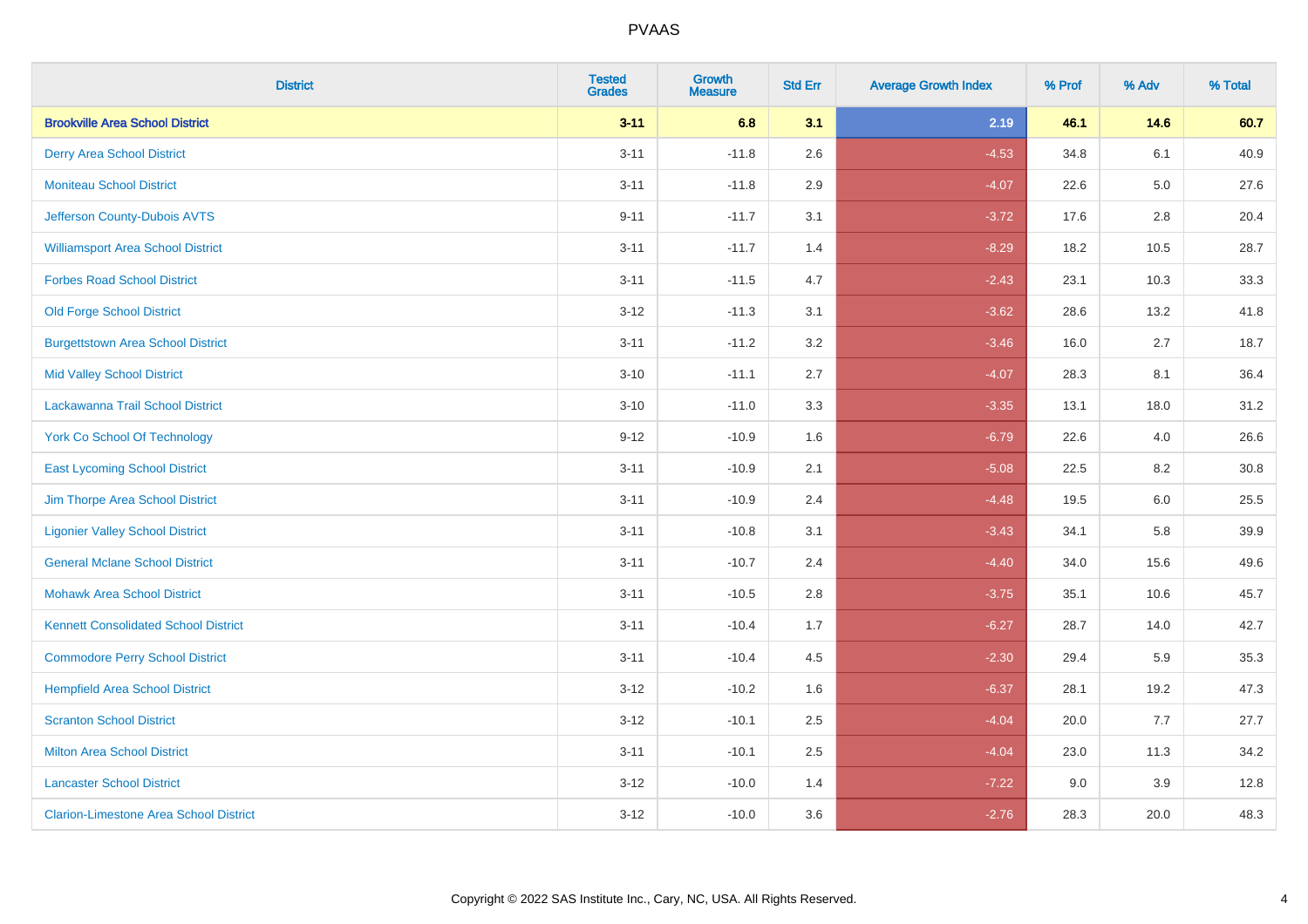| <b>District</b>                               | <b>Tested</b><br><b>Grades</b> | <b>Growth</b><br><b>Measure</b> | <b>Std Err</b> | <b>Average Growth Index</b> | % Prof | % Adv   | % Total |
|-----------------------------------------------|--------------------------------|---------------------------------|----------------|-----------------------------|--------|---------|---------|
| <b>Brookville Area School District</b>        | $3 - 11$                       | 6.8                             | 3.1            | 2.19                        | 46.1   | 14.6    | 60.7    |
| <b>Derry Area School District</b>             | $3 - 11$                       | $-11.8$                         | 2.6            | $-4.53$                     | 34.8   | 6.1     | 40.9    |
| <b>Moniteau School District</b>               | $3 - 11$                       | $-11.8$                         | 2.9            | $-4.07$                     | 22.6   | $5.0\,$ | 27.6    |
| Jefferson County-Dubois AVTS                  | $9 - 11$                       | $-11.7$                         | 3.1            | $-3.72$                     | 17.6   | 2.8     | 20.4    |
| <b>Williamsport Area School District</b>      | $3 - 11$                       | $-11.7$                         | 1.4            | $-8.29$                     | 18.2   | 10.5    | 28.7    |
| <b>Forbes Road School District</b>            | $3 - 11$                       | $-11.5$                         | 4.7            | $-2.43$                     | 23.1   | 10.3    | 33.3    |
| <b>Old Forge School District</b>              | $3 - 12$                       | $-11.3$                         | 3.1            | $-3.62$                     | 28.6   | 13.2    | 41.8    |
| <b>Burgettstown Area School District</b>      | $3 - 11$                       | $-11.2$                         | 3.2            | $-3.46$                     | 16.0   | 2.7     | 18.7    |
| <b>Mid Valley School District</b>             | $3 - 10$                       | $-11.1$                         | 2.7            | $-4.07$                     | 28.3   | 8.1     | 36.4    |
| Lackawanna Trail School District              | $3 - 10$                       | $-11.0$                         | 3.3            | $-3.35$                     | 13.1   | 18.0    | 31.2    |
| <b>York Co School Of Technology</b>           | $9 - 12$                       | $-10.9$                         | 1.6            | $-6.79$                     | 22.6   | 4.0     | 26.6    |
| <b>East Lycoming School District</b>          | $3 - 11$                       | $-10.9$                         | 2.1            | $-5.08$                     | 22.5   | 8.2     | 30.8    |
| Jim Thorpe Area School District               | $3 - 11$                       | $-10.9$                         | 2.4            | $-4.48$                     | 19.5   | 6.0     | 25.5    |
| <b>Ligonier Valley School District</b>        | $3 - 11$                       | $-10.8$                         | 3.1            | $-3.43$                     | 34.1   | 5.8     | 39.9    |
| <b>General Mclane School District</b>         | $3 - 11$                       | $-10.7$                         | 2.4            | $-4.40$                     | 34.0   | 15.6    | 49.6    |
| <b>Mohawk Area School District</b>            | $3 - 11$                       | $-10.5$                         | 2.8            | $-3.75$                     | 35.1   | 10.6    | 45.7    |
| <b>Kennett Consolidated School District</b>   | $3 - 11$                       | $-10.4$                         | 1.7            | $-6.27$                     | 28.7   | 14.0    | 42.7    |
| <b>Commodore Perry School District</b>        | $3 - 11$                       | $-10.4$                         | 4.5            | $-2.30$                     | 29.4   | 5.9     | 35.3    |
| <b>Hempfield Area School District</b>         | $3 - 12$                       | $-10.2$                         | 1.6            | $-6.37$                     | 28.1   | 19.2    | 47.3    |
| <b>Scranton School District</b>               | $3 - 12$                       | $-10.1$                         | 2.5            | $-4.04$                     | 20.0   | 7.7     | 27.7    |
| <b>Milton Area School District</b>            | $3 - 11$                       | $-10.1$                         | 2.5            | $-4.04$                     | 23.0   | 11.3    | 34.2    |
| <b>Lancaster School District</b>              | $3 - 12$                       | $-10.0$                         | 1.4            | $-7.22$                     | 9.0    | 3.9     | 12.8    |
| <b>Clarion-Limestone Area School District</b> | $3 - 12$                       | $-10.0$                         | 3.6            | $-2.76$                     | 28.3   | 20.0    | 48.3    |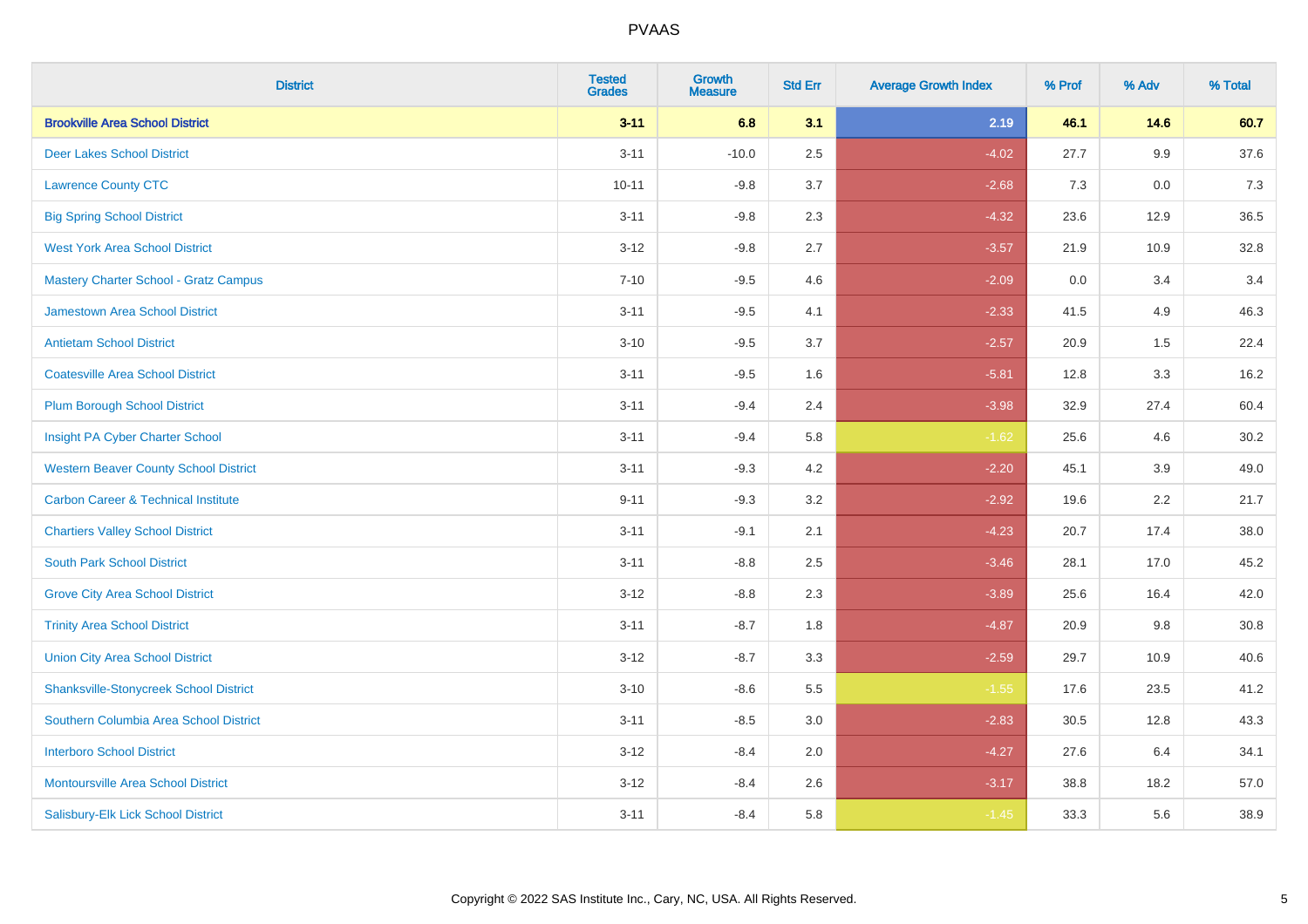| <b>District</b>                                | <b>Tested</b><br><b>Grades</b> | <b>Growth</b><br><b>Measure</b> | <b>Std Err</b> | <b>Average Growth Index</b> | % Prof | % Adv | % Total |
|------------------------------------------------|--------------------------------|---------------------------------|----------------|-----------------------------|--------|-------|---------|
| <b>Brookville Area School District</b>         | $3 - 11$                       | 6.8                             | 3.1            | 2.19                        | 46.1   | 14.6  | 60.7    |
| <b>Deer Lakes School District</b>              | $3 - 11$                       | $-10.0$                         | 2.5            | $-4.02$                     | 27.7   | 9.9   | 37.6    |
| <b>Lawrence County CTC</b>                     | $10 - 11$                      | $-9.8$                          | 3.7            | $-2.68$                     | 7.3    | 0.0   | 7.3     |
| <b>Big Spring School District</b>              | $3 - 11$                       | $-9.8$                          | 2.3            | $-4.32$                     | 23.6   | 12.9  | 36.5    |
| <b>West York Area School District</b>          | $3 - 12$                       | $-9.8$                          | 2.7            | $-3.57$                     | 21.9   | 10.9  | 32.8    |
| <b>Mastery Charter School - Gratz Campus</b>   | $7 - 10$                       | $-9.5$                          | 4.6            | $-2.09$                     | 0.0    | 3.4   | 3.4     |
| Jamestown Area School District                 | $3 - 11$                       | $-9.5$                          | 4.1            | $-2.33$                     | 41.5   | 4.9   | 46.3    |
| <b>Antietam School District</b>                | $3 - 10$                       | $-9.5$                          | 3.7            | $-2.57$                     | 20.9   | 1.5   | 22.4    |
| <b>Coatesville Area School District</b>        | $3 - 11$                       | $-9.5$                          | 1.6            | $-5.81$                     | 12.8   | 3.3   | 16.2    |
| <b>Plum Borough School District</b>            | $3 - 11$                       | $-9.4$                          | 2.4            | $-3.98$                     | 32.9   | 27.4  | 60.4    |
| Insight PA Cyber Charter School                | $3 - 11$                       | $-9.4$                          | 5.8            | $-1.62$                     | 25.6   | 4.6   | 30.2    |
| <b>Western Beaver County School District</b>   | $3 - 11$                       | $-9.3$                          | 4.2            | $-2.20$                     | 45.1   | 3.9   | 49.0    |
| <b>Carbon Career &amp; Technical Institute</b> | $9 - 11$                       | $-9.3$                          | 3.2            | $-2.92$                     | 19.6   | 2.2   | 21.7    |
| <b>Chartiers Valley School District</b>        | $3 - 11$                       | $-9.1$                          | 2.1            | $-4.23$                     | 20.7   | 17.4  | 38.0    |
| <b>South Park School District</b>              | $3 - 11$                       | $-8.8$                          | 2.5            | $-3.46$                     | 28.1   | 17.0  | 45.2    |
| <b>Grove City Area School District</b>         | $3 - 12$                       | $-8.8$                          | 2.3            | $-3.89$                     | 25.6   | 16.4  | 42.0    |
| <b>Trinity Area School District</b>            | $3 - 11$                       | $-8.7$                          | 1.8            | $-4.87$                     | 20.9   | 9.8   | 30.8    |
| <b>Union City Area School District</b>         | $3 - 12$                       | $-8.7$                          | 3.3            | $-2.59$                     | 29.7   | 10.9  | 40.6    |
| <b>Shanksville-Stonycreek School District</b>  | $3 - 10$                       | $-8.6$                          | 5.5            | $-1.55$                     | 17.6   | 23.5  | 41.2    |
| Southern Columbia Area School District         | $3 - 11$                       | $-8.5$                          | 3.0            | $-2.83$                     | 30.5   | 12.8  | 43.3    |
| <b>Interboro School District</b>               | $3 - 12$                       | $-8.4$                          | 2.0            | $-4.27$                     | 27.6   | 6.4   | 34.1    |
| <b>Montoursville Area School District</b>      | $3 - 12$                       | $-8.4$                          | 2.6            | $-3.17$                     | 38.8   | 18.2  | 57.0    |
| Salisbury-Elk Lick School District             | $3 - 11$                       | $-8.4$                          | 5.8            | $-1.45$                     | 33.3   | 5.6   | 38.9    |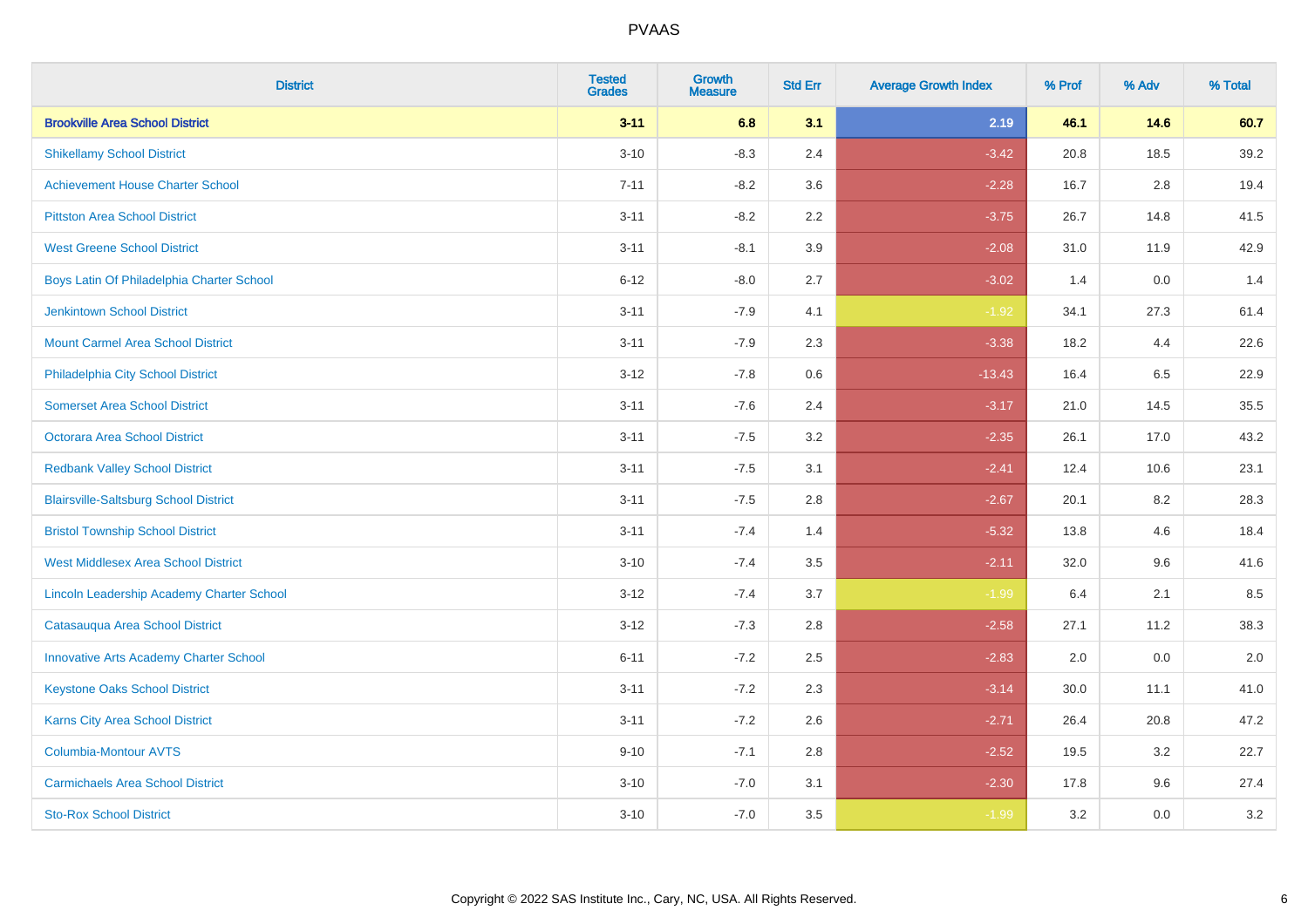| <b>District</b>                                  | <b>Tested</b><br><b>Grades</b> | <b>Growth</b><br><b>Measure</b> | <b>Std Err</b> | <b>Average Growth Index</b> | % Prof | % Adv   | % Total |
|--------------------------------------------------|--------------------------------|---------------------------------|----------------|-----------------------------|--------|---------|---------|
| <b>Brookville Area School District</b>           | $3 - 11$                       | 6.8                             | 3.1            | 2.19                        | 46.1   | 14.6    | 60.7    |
| <b>Shikellamy School District</b>                | $3 - 10$                       | $-8.3$                          | 2.4            | $-3.42$                     | 20.8   | 18.5    | 39.2    |
| <b>Achievement House Charter School</b>          | $7 - 11$                       | $-8.2$                          | 3.6            | $-2.28$                     | 16.7   | 2.8     | 19.4    |
| <b>Pittston Area School District</b>             | $3 - 11$                       | $-8.2$                          | 2.2            | $-3.75$                     | 26.7   | 14.8    | 41.5    |
| <b>West Greene School District</b>               | $3 - 11$                       | $-8.1$                          | 3.9            | $-2.08$                     | 31.0   | 11.9    | 42.9    |
| Boys Latin Of Philadelphia Charter School        | $6 - 12$                       | $-8.0$                          | 2.7            | $-3.02$                     | 1.4    | 0.0     | 1.4     |
| <b>Jenkintown School District</b>                | $3 - 11$                       | $-7.9$                          | 4.1            | $-1.92$                     | 34.1   | 27.3    | 61.4    |
| <b>Mount Carmel Area School District</b>         | $3 - 11$                       | $-7.9$                          | 2.3            | $-3.38$                     | 18.2   | 4.4     | 22.6    |
| Philadelphia City School District                | $3 - 12$                       | $-7.8$                          | 0.6            | $-13.43$                    | 16.4   | 6.5     | 22.9    |
| <b>Somerset Area School District</b>             | $3 - 11$                       | $-7.6$                          | 2.4            | $-3.17$                     | 21.0   | 14.5    | 35.5    |
| Octorara Area School District                    | $3 - 11$                       | $-7.5$                          | 3.2            | $-2.35$                     | 26.1   | 17.0    | 43.2    |
| <b>Redbank Valley School District</b>            | $3 - 11$                       | $-7.5$                          | 3.1            | $-2.41$                     | 12.4   | 10.6    | 23.1    |
| <b>Blairsville-Saltsburg School District</b>     | $3 - 11$                       | $-7.5$                          | 2.8            | $-2.67$                     | 20.1   | $8.2\,$ | 28.3    |
| <b>Bristol Township School District</b>          | $3 - 11$                       | $-7.4$                          | 1.4            | $-5.32$                     | 13.8   | 4.6     | 18.4    |
| <b>West Middlesex Area School District</b>       | $3 - 10$                       | $-7.4$                          | 3.5            | $-2.11$                     | 32.0   | 9.6     | 41.6    |
| <b>Lincoln Leadership Academy Charter School</b> | $3 - 12$                       | $-7.4$                          | 3.7            | $-1.99$                     | 6.4    | 2.1     | 8.5     |
| Catasauqua Area School District                  | $3 - 12$                       | $-7.3$                          | 2.8            | $-2.58$                     | 27.1   | 11.2    | 38.3    |
| <b>Innovative Arts Academy Charter School</b>    | $6 - 11$                       | $-7.2$                          | 2.5            | $-2.83$                     | 2.0    | 0.0     | 2.0     |
| <b>Keystone Oaks School District</b>             | $3 - 11$                       | $-7.2$                          | 2.3            | $-3.14$                     | 30.0   | 11.1    | 41.0    |
| Karns City Area School District                  | $3 - 11$                       | $-7.2$                          | 2.6            | $-2.71$                     | 26.4   | 20.8    | 47.2    |
| Columbia-Montour AVTS                            | $9 - 10$                       | $-7.1$                          | 2.8            | $-2.52$                     | 19.5   | 3.2     | 22.7    |
| <b>Carmichaels Area School District</b>          | $3 - 10$                       | $-7.0$                          | 3.1            | $-2.30$                     | 17.8   | 9.6     | 27.4    |
| <b>Sto-Rox School District</b>                   | $3 - 10$                       | $-7.0$                          | 3.5            | $-1.99$                     | 3.2    | 0.0     | 3.2     |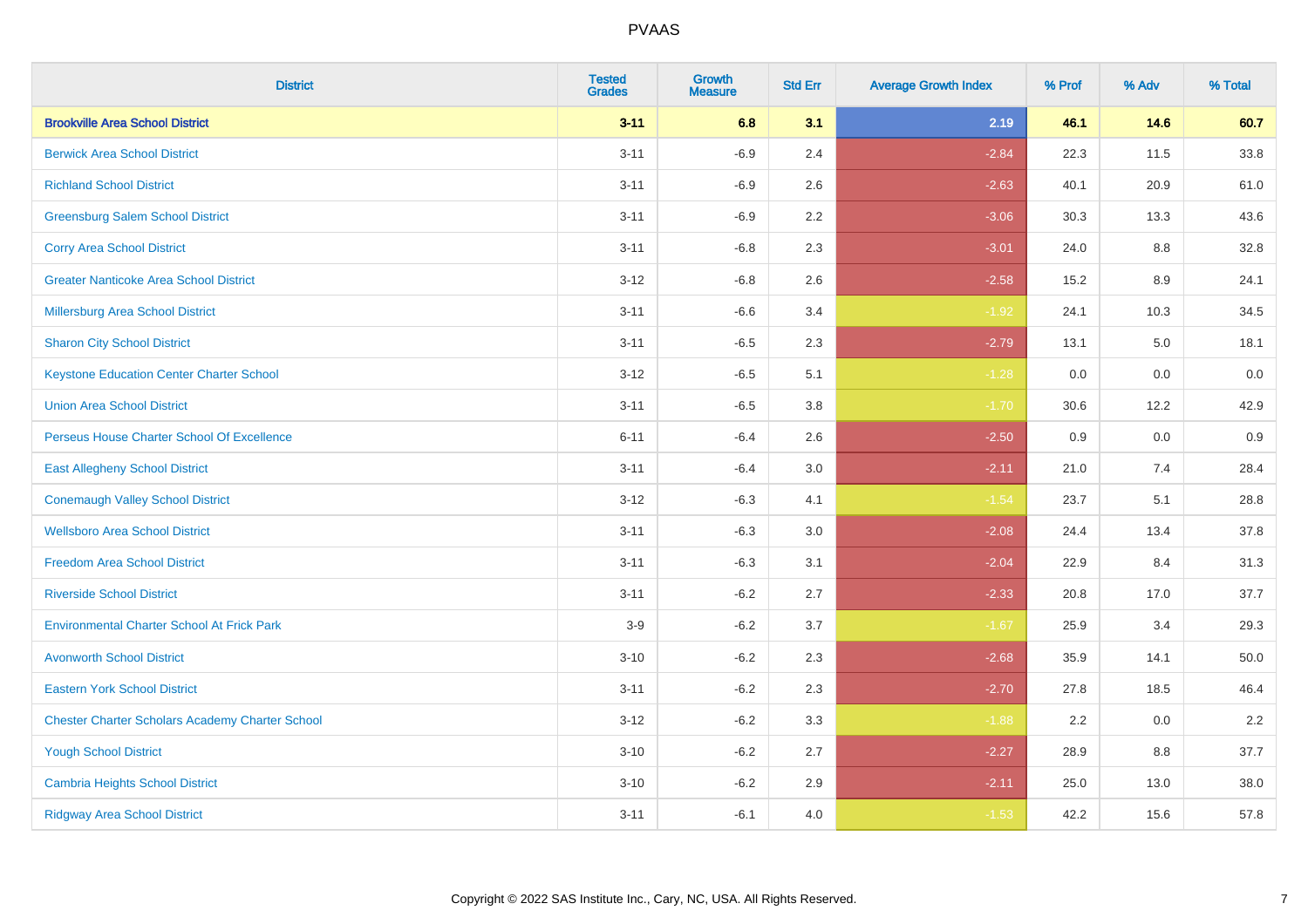| <b>District</b>                                        | <b>Tested</b><br><b>Grades</b> | <b>Growth</b><br><b>Measure</b> | <b>Std Err</b> | <b>Average Growth Index</b> | % Prof | % Adv   | % Total  |
|--------------------------------------------------------|--------------------------------|---------------------------------|----------------|-----------------------------|--------|---------|----------|
| <b>Brookville Area School District</b>                 | $3 - 11$                       | 6.8                             | 3.1            | 2.19                        | 46.1   | 14.6    | 60.7     |
| <b>Berwick Area School District</b>                    | $3 - 11$                       | $-6.9$                          | 2.4            | $-2.84$                     | 22.3   | 11.5    | 33.8     |
| <b>Richland School District</b>                        | $3 - 11$                       | $-6.9$                          | 2.6            | $-2.63$                     | 40.1   | 20.9    | 61.0     |
| <b>Greensburg Salem School District</b>                | $3 - 11$                       | $-6.9$                          | 2.2            | $-3.06$                     | 30.3   | 13.3    | 43.6     |
| <b>Corry Area School District</b>                      | $3 - 11$                       | $-6.8$                          | 2.3            | $-3.01$                     | 24.0   | 8.8     | 32.8     |
| <b>Greater Nanticoke Area School District</b>          | $3 - 12$                       | $-6.8$                          | 2.6            | $-2.58$                     | 15.2   | $8.9\,$ | 24.1     |
| Millersburg Area School District                       | $3 - 11$                       | $-6.6$                          | 3.4            | $-1.92$                     | 24.1   | 10.3    | 34.5     |
| <b>Sharon City School District</b>                     | $3 - 11$                       | $-6.5$                          | 2.3            | $-2.79$                     | 13.1   | 5.0     | 18.1     |
| <b>Keystone Education Center Charter School</b>        | $3 - 12$                       | $-6.5$                          | 5.1            | $-1.28$                     | 0.0    | 0.0     | $0.0\,$  |
| <b>Union Area School District</b>                      | $3 - 11$                       | $-6.5$                          | 3.8            | $-1.70$                     | 30.6   | 12.2    | 42.9     |
| Perseus House Charter School Of Excellence             | $6 - 11$                       | $-6.4$                          | 2.6            | $-2.50$                     | 0.9    | 0.0     | 0.9      |
| <b>East Allegheny School District</b>                  | $3 - 11$                       | $-6.4$                          | 3.0            | $-2.11$                     | 21.0   | 7.4     | 28.4     |
| <b>Conemaugh Valley School District</b>                | $3 - 12$                       | $-6.3$                          | 4.1            | $-1.54$                     | 23.7   | 5.1     | 28.8     |
| <b>Wellsboro Area School District</b>                  | $3 - 11$                       | $-6.3$                          | 3.0            | $-2.08$                     | 24.4   | 13.4    | 37.8     |
| <b>Freedom Area School District</b>                    | $3 - 11$                       | $-6.3$                          | 3.1            | $-2.04$                     | 22.9   | 8.4     | 31.3     |
| <b>Riverside School District</b>                       | $3 - 11$                       | $-6.2$                          | 2.7            | $-2.33$                     | 20.8   | 17.0    | 37.7     |
| <b>Environmental Charter School At Frick Park</b>      | $3-9$                          | $-6.2$                          | 3.7            | $-1.67$                     | 25.9   | 3.4     | 29.3     |
| <b>Avonworth School District</b>                       | $3 - 10$                       | $-6.2$                          | 2.3            | $-2.68$                     | 35.9   | 14.1    | $50.0\,$ |
| <b>Eastern York School District</b>                    | $3 - 11$                       | $-6.2$                          | 2.3            | $-2.70$                     | 27.8   | 18.5    | 46.4     |
| <b>Chester Charter Scholars Academy Charter School</b> | $3 - 12$                       | $-6.2$                          | 3.3            | $-1.88$                     | 2.2    | 0.0     | 2.2      |
| <b>Yough School District</b>                           | $3 - 10$                       | $-6.2$                          | 2.7            | $-2.27$                     | 28.9   | 8.8     | 37.7     |
| <b>Cambria Heights School District</b>                 | $3 - 10$                       | $-6.2$                          | 2.9            | $-2.11$                     | 25.0   | 13.0    | 38.0     |
| <b>Ridgway Area School District</b>                    | $3 - 11$                       | $-6.1$                          | 4.0            | $-1.53$                     | 42.2   | 15.6    | 57.8     |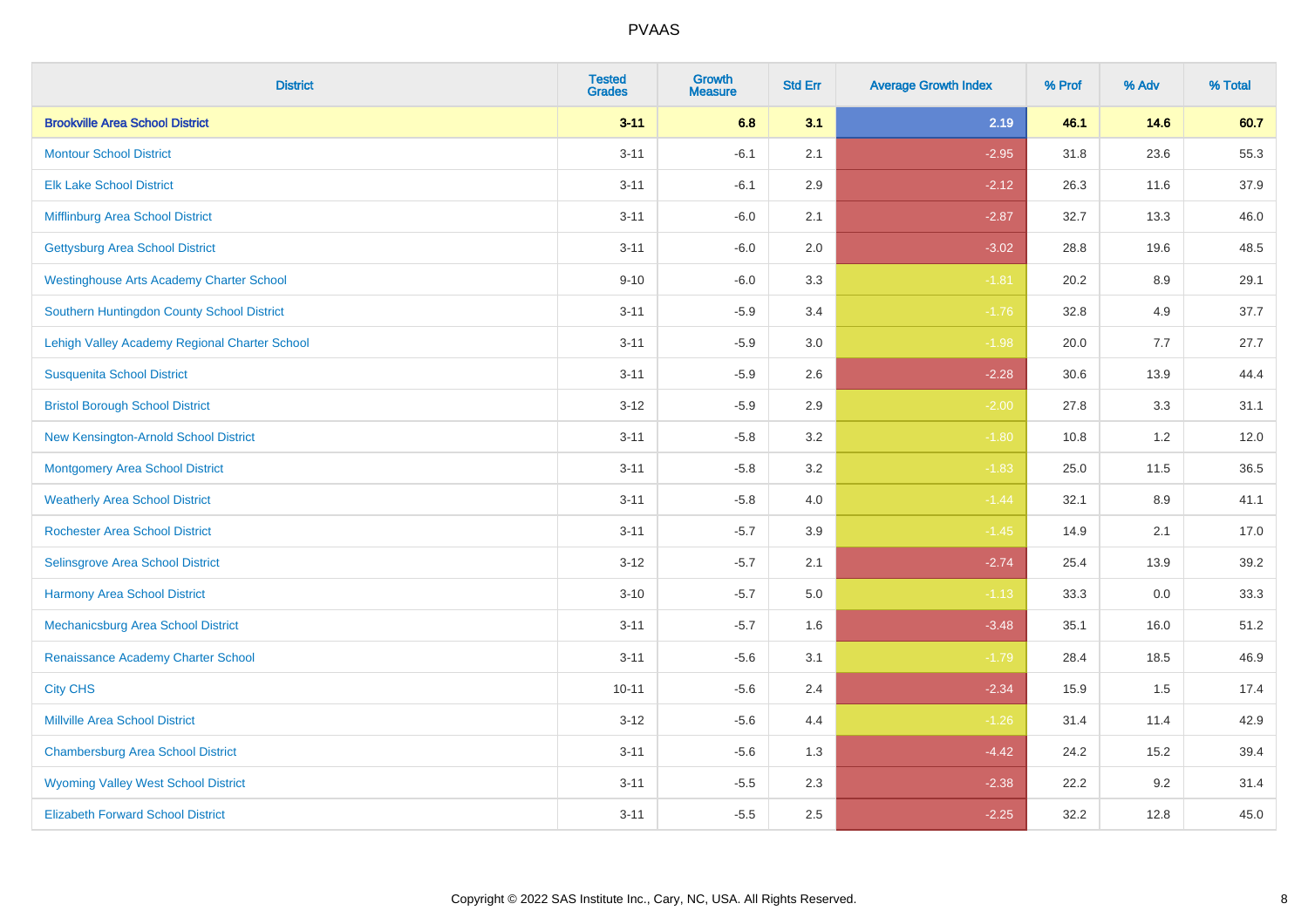| <b>District</b>                                 | <b>Tested</b><br><b>Grades</b> | <b>Growth</b><br><b>Measure</b> | <b>Std Err</b> | <b>Average Growth Index</b> | % Prof | % Adv   | % Total |
|-------------------------------------------------|--------------------------------|---------------------------------|----------------|-----------------------------|--------|---------|---------|
| <b>Brookville Area School District</b>          | $3 - 11$                       | 6.8                             | 3.1            | 2.19                        | 46.1   | 14.6    | 60.7    |
| <b>Montour School District</b>                  | $3 - 11$                       | $-6.1$                          | 2.1            | $-2.95$                     | 31.8   | 23.6    | 55.3    |
| <b>Elk Lake School District</b>                 | $3 - 11$                       | $-6.1$                          | 2.9            | $-2.12$                     | 26.3   | 11.6    | 37.9    |
| Mifflinburg Area School District                | $3 - 11$                       | $-6.0$                          | 2.1            | $-2.87$                     | 32.7   | 13.3    | 46.0    |
| <b>Gettysburg Area School District</b>          | $3 - 11$                       | $-6.0$                          | 2.0            | $-3.02$                     | 28.8   | 19.6    | 48.5    |
| <b>Westinghouse Arts Academy Charter School</b> | $9 - 10$                       | $-6.0$                          | 3.3            | $-1.81$                     | 20.2   | $8.9\,$ | 29.1    |
| Southern Huntingdon County School District      | $3 - 11$                       | $-5.9$                          | 3.4            | $-1.76$                     | 32.8   | 4.9     | 37.7    |
| Lehigh Valley Academy Regional Charter School   | $3 - 11$                       | $-5.9$                          | 3.0            | $-1.98$                     | 20.0   | 7.7     | 27.7    |
| <b>Susquenita School District</b>               | $3 - 11$                       | $-5.9$                          | 2.6            | $-2.28$                     | 30.6   | 13.9    | 44.4    |
| <b>Bristol Borough School District</b>          | $3 - 12$                       | $-5.9$                          | 2.9            | $-2.00$                     | 27.8   | 3.3     | 31.1    |
| New Kensington-Arnold School District           | $3 - 11$                       | $-5.8$                          | 3.2            | $-1.80$                     | 10.8   | 1.2     | 12.0    |
| <b>Montgomery Area School District</b>          | $3 - 11$                       | $-5.8$                          | 3.2            | $-1.83$                     | 25.0   | 11.5    | 36.5    |
| <b>Weatherly Area School District</b>           | $3 - 11$                       | $-5.8$                          | $4.0\,$        | $-1.44$                     | 32.1   | 8.9     | 41.1    |
| <b>Rochester Area School District</b>           | $3 - 11$                       | $-5.7$                          | 3.9            | $-1.45$                     | 14.9   | 2.1     | 17.0    |
| <b>Selinsgrove Area School District</b>         | $3 - 12$                       | $-5.7$                          | 2.1            | $-2.74$                     | 25.4   | 13.9    | 39.2    |
| <b>Harmony Area School District</b>             | $3 - 10$                       | $-5.7$                          | 5.0            | $-1.13$                     | 33.3   | $0.0\,$ | 33.3    |
| Mechanicsburg Area School District              | $3 - 11$                       | $-5.7$                          | 1.6            | $-3.48$                     | 35.1   | 16.0    | 51.2    |
| Renaissance Academy Charter School              | $3 - 11$                       | $-5.6$                          | 3.1            | $-1.79$                     | 28.4   | 18.5    | 46.9    |
| <b>City CHS</b>                                 | $10 - 11$                      | $-5.6$                          | 2.4            | $-2.34$                     | 15.9   | 1.5     | 17.4    |
| <b>Millville Area School District</b>           | $3 - 12$                       | $-5.6$                          | 4.4            | $-1.26$                     | 31.4   | 11.4    | 42.9    |
| <b>Chambersburg Area School District</b>        | $3 - 11$                       | $-5.6$                          | 1.3            | $-4.42$                     | 24.2   | 15.2    | 39.4    |
| <b>Wyoming Valley West School District</b>      | $3 - 11$                       | $-5.5$                          | 2.3            | $-2.38$                     | 22.2   | 9.2     | 31.4    |
| <b>Elizabeth Forward School District</b>        | $3 - 11$                       | $-5.5$                          | 2.5            | $-2.25$                     | 32.2   | 12.8    | 45.0    |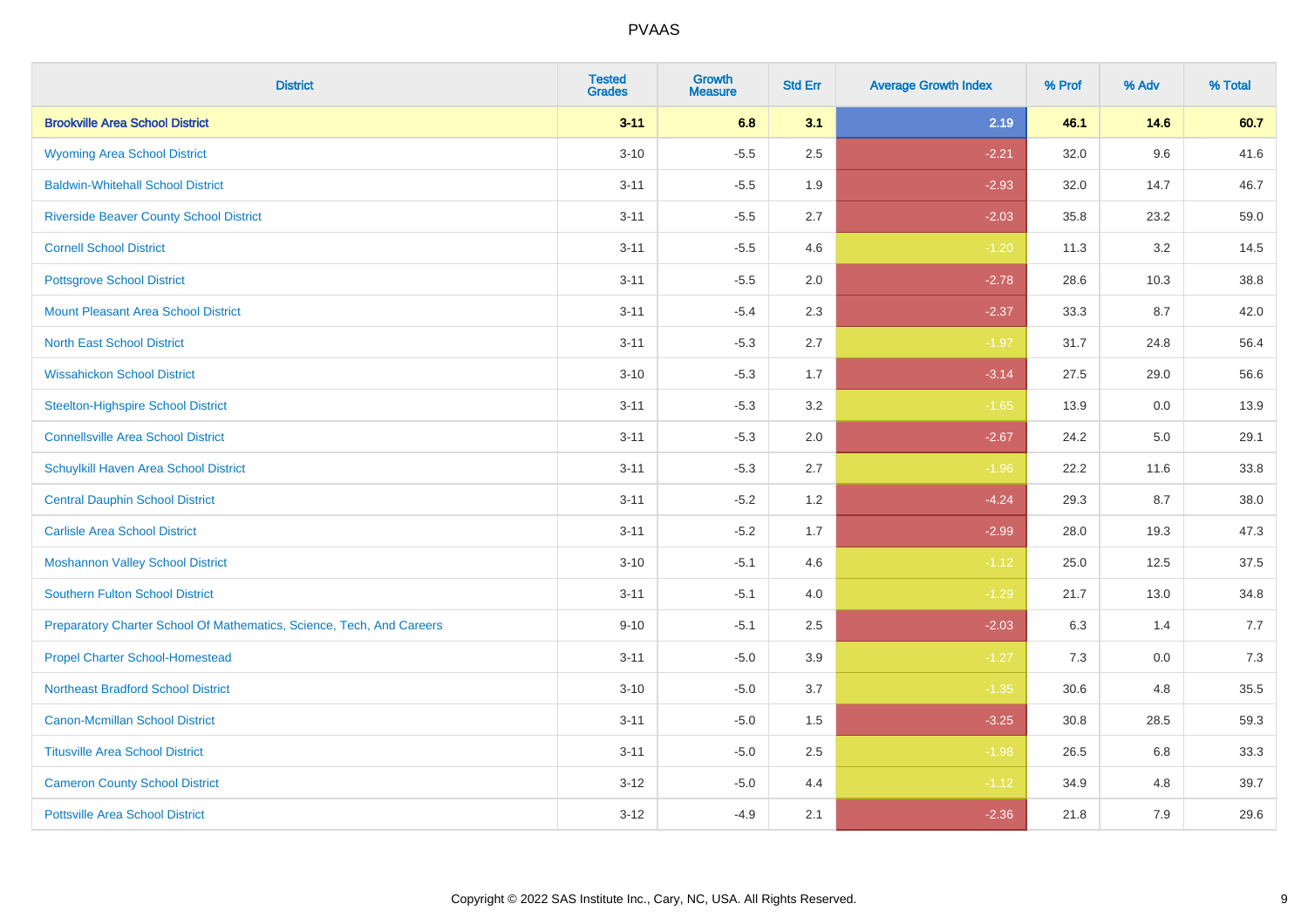| <b>District</b>                                                       | <b>Tested</b><br><b>Grades</b> | <b>Growth</b><br><b>Measure</b> | <b>Std Err</b> | <b>Average Growth Index</b> | % Prof | % Adv | % Total |
|-----------------------------------------------------------------------|--------------------------------|---------------------------------|----------------|-----------------------------|--------|-------|---------|
| <b>Brookville Area School District</b>                                | $3 - 11$                       | 6.8                             | 3.1            | 2.19                        | 46.1   | 14.6  | 60.7    |
| <b>Wyoming Area School District</b>                                   | $3 - 10$                       | $-5.5$                          | 2.5            | $-2.21$                     | 32.0   | 9.6   | 41.6    |
| <b>Baldwin-Whitehall School District</b>                              | $3 - 11$                       | $-5.5$                          | 1.9            | $-2.93$                     | 32.0   | 14.7  | 46.7    |
| <b>Riverside Beaver County School District</b>                        | $3 - 11$                       | $-5.5$                          | 2.7            | $-2.03$                     | 35.8   | 23.2  | 59.0    |
| <b>Cornell School District</b>                                        | $3 - 11$                       | $-5.5$                          | 4.6            | $-1.20$                     | 11.3   | 3.2   | 14.5    |
| <b>Pottsgrove School District</b>                                     | $3 - 11$                       | $-5.5$                          | 2.0            | $-2.78$                     | 28.6   | 10.3  | 38.8    |
| <b>Mount Pleasant Area School District</b>                            | $3 - 11$                       | $-5.4$                          | 2.3            | $-2.37$                     | 33.3   | 8.7   | 42.0    |
| <b>North East School District</b>                                     | $3 - 11$                       | $-5.3$                          | 2.7            | $-1.97$                     | 31.7   | 24.8  | 56.4    |
| <b>Wissahickon School District</b>                                    | $3 - 10$                       | $-5.3$                          | 1.7            | $-3.14$                     | 27.5   | 29.0  | 56.6    |
| <b>Steelton-Highspire School District</b>                             | $3 - 11$                       | $-5.3$                          | 3.2            | $-1.65$                     | 13.9   | 0.0   | 13.9    |
| <b>Connellsville Area School District</b>                             | $3 - 11$                       | $-5.3$                          | 2.0            | $-2.67$                     | 24.2   | 5.0   | 29.1    |
| Schuylkill Haven Area School District                                 | $3 - 11$                       | $-5.3$                          | 2.7            | $-1.96$                     | 22.2   | 11.6  | 33.8    |
| <b>Central Dauphin School District</b>                                | $3 - 11$                       | $-5.2$                          | 1.2            | $-4.24$                     | 29.3   | 8.7   | 38.0    |
| <b>Carlisle Area School District</b>                                  | $3 - 11$                       | $-5.2$                          | 1.7            | $-2.99$                     | 28.0   | 19.3  | 47.3    |
| <b>Moshannon Valley School District</b>                               | $3 - 10$                       | $-5.1$                          | 4.6            | $-1.12$                     | 25.0   | 12.5  | 37.5    |
| <b>Southern Fulton School District</b>                                | $3 - 11$                       | $-5.1$                          | 4.0            | $-1.29$                     | 21.7   | 13.0  | 34.8    |
| Preparatory Charter School Of Mathematics, Science, Tech, And Careers | $9 - 10$                       | $-5.1$                          | 2.5            | $-2.03$                     | 6.3    | 1.4   | 7.7     |
| <b>Propel Charter School-Homestead</b>                                | $3 - 11$                       | $-5.0$                          | 3.9            | $-1.27$                     | 7.3    | 0.0   | 7.3     |
| <b>Northeast Bradford School District</b>                             | $3 - 10$                       | $-5.0$                          | 3.7            | $-1.35$                     | 30.6   | 4.8   | 35.5    |
| <b>Canon-Mcmillan School District</b>                                 | $3 - 11$                       | $-5.0$                          | 1.5            | $-3.25$                     | 30.8   | 28.5  | 59.3    |
| <b>Titusville Area School District</b>                                | $3 - 11$                       | $-5.0$                          | 2.5            | $-1.98$                     | 26.5   | 6.8   | 33.3    |
| <b>Cameron County School District</b>                                 | $3-12$                         | $-5.0$                          | 4.4            | $-1.12$                     | 34.9   | 4.8   | 39.7    |
| <b>Pottsville Area School District</b>                                | $3 - 12$                       | $-4.9$                          | 2.1            | $-2.36$                     | 21.8   | 7.9   | 29.6    |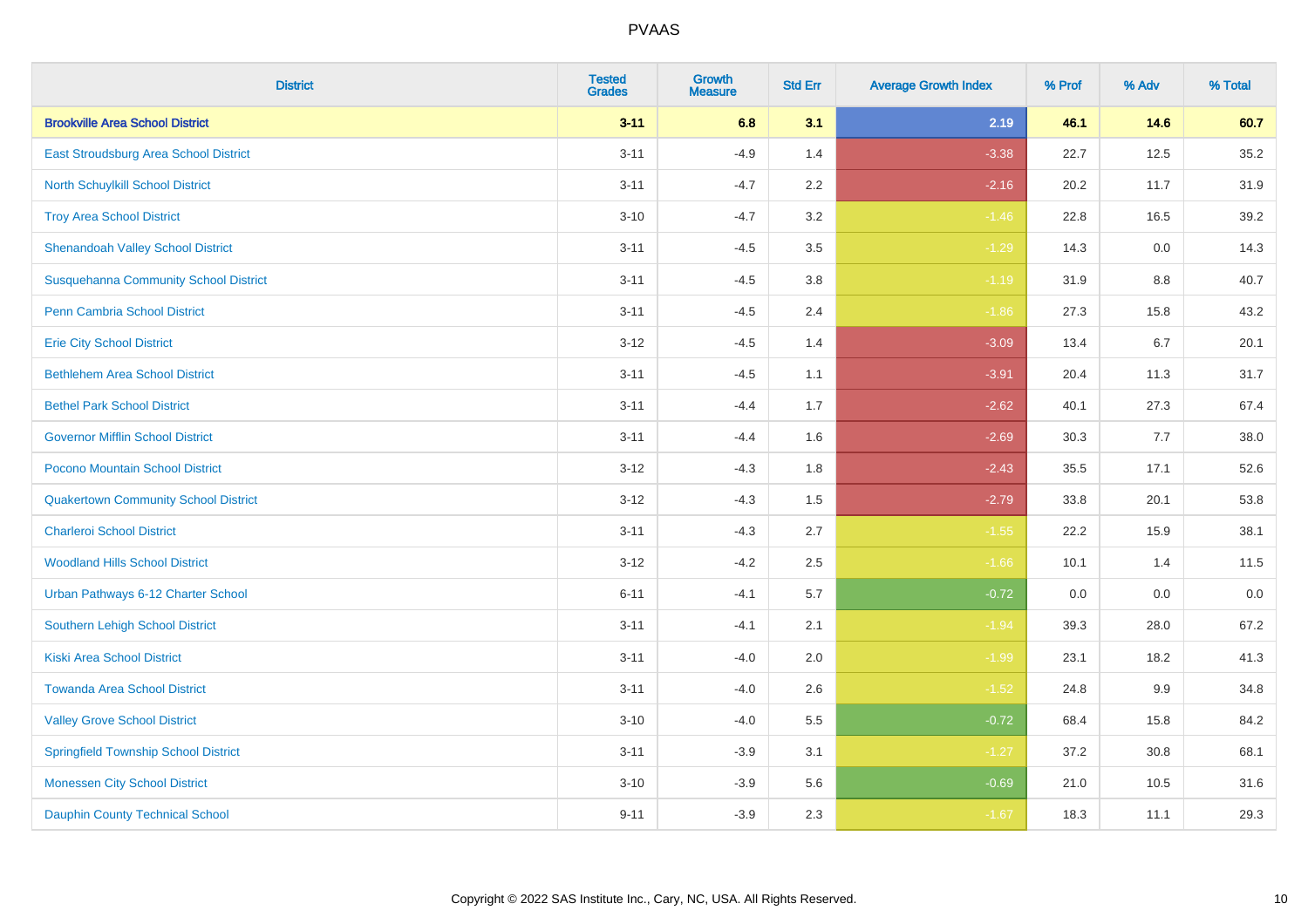| <b>District</b>                              | <b>Tested</b><br><b>Grades</b> | <b>Growth</b><br><b>Measure</b> | <b>Std Err</b> | <b>Average Growth Index</b> | % Prof | % Adv   | % Total |
|----------------------------------------------|--------------------------------|---------------------------------|----------------|-----------------------------|--------|---------|---------|
| <b>Brookville Area School District</b>       | $3 - 11$                       | 6.8                             | 3.1            | 2.19                        | 46.1   | 14.6    | 60.7    |
| East Stroudsburg Area School District        | $3 - 11$                       | $-4.9$                          | 1.4            | $-3.38$                     | 22.7   | 12.5    | 35.2    |
| <b>North Schuylkill School District</b>      | $3 - 11$                       | $-4.7$                          | 2.2            | $-2.16$                     | 20.2   | 11.7    | 31.9    |
| <b>Troy Area School District</b>             | $3 - 10$                       | $-4.7$                          | 3.2            | $-1.46$                     | 22.8   | 16.5    | 39.2    |
| <b>Shenandoah Valley School District</b>     | $3 - 11$                       | $-4.5$                          | 3.5            | $-1.29$                     | 14.3   | 0.0     | 14.3    |
| <b>Susquehanna Community School District</b> | $3 - 11$                       | $-4.5$                          | 3.8            | $-1.19$                     | 31.9   | 8.8     | 40.7    |
| <b>Penn Cambria School District</b>          | $3 - 11$                       | $-4.5$                          | 2.4            | $-1.86$                     | 27.3   | 15.8    | 43.2    |
| <b>Erie City School District</b>             | $3 - 12$                       | $-4.5$                          | 1.4            | $-3.09$                     | 13.4   | 6.7     | 20.1    |
| <b>Bethlehem Area School District</b>        | $3 - 11$                       | $-4.5$                          | 1.1            | $-3.91$                     | 20.4   | 11.3    | 31.7    |
| <b>Bethel Park School District</b>           | $3 - 11$                       | $-4.4$                          | 1.7            | $-2.62$                     | 40.1   | 27.3    | 67.4    |
| <b>Governor Mifflin School District</b>      | $3 - 11$                       | $-4.4$                          | 1.6            | $-2.69$                     | 30.3   | 7.7     | 38.0    |
| Pocono Mountain School District              | $3 - 12$                       | $-4.3$                          | 1.8            | $-2.43$                     | 35.5   | 17.1    | 52.6    |
| <b>Quakertown Community School District</b>  | $3 - 12$                       | $-4.3$                          | $1.5$          | $-2.79$                     | 33.8   | 20.1    | 53.8    |
| <b>Charleroi School District</b>             | $3 - 11$                       | $-4.3$                          | 2.7            | $-1.55$                     | 22.2   | 15.9    | 38.1    |
| <b>Woodland Hills School District</b>        | $3 - 12$                       | $-4.2$                          | 2.5            | $-1.66$                     | 10.1   | 1.4     | 11.5    |
| Urban Pathways 6-12 Charter School           | $6 - 11$                       | $-4.1$                          | 5.7            | $-0.72$                     | 0.0    | $0.0\,$ | $0.0\,$ |
| <b>Southern Lehigh School District</b>       | $3 - 11$                       | $-4.1$                          | 2.1            | $-1.94$                     | 39.3   | 28.0    | 67.2    |
| <b>Kiski Area School District</b>            | $3 - 11$                       | $-4.0$                          | 2.0            | $-1.99$                     | 23.1   | 18.2    | 41.3    |
| <b>Towanda Area School District</b>          | $3 - 11$                       | $-4.0$                          | 2.6            | $-1.52$                     | 24.8   | 9.9     | 34.8    |
| <b>Valley Grove School District</b>          | $3 - 10$                       | $-4.0$                          | 5.5            | $-0.72$                     | 68.4   | 15.8    | 84.2    |
| <b>Springfield Township School District</b>  | $3 - 11$                       | $-3.9$                          | 3.1            | $-1.27$                     | 37.2   | 30.8    | 68.1    |
| <b>Monessen City School District</b>         | $3 - 10$                       | $-3.9$                          | 5.6            | $-0.69$                     | 21.0   | 10.5    | 31.6    |
| <b>Dauphin County Technical School</b>       | $9 - 11$                       | $-3.9$                          | 2.3            | $-1.67$                     | 18.3   | 11.1    | 29.3    |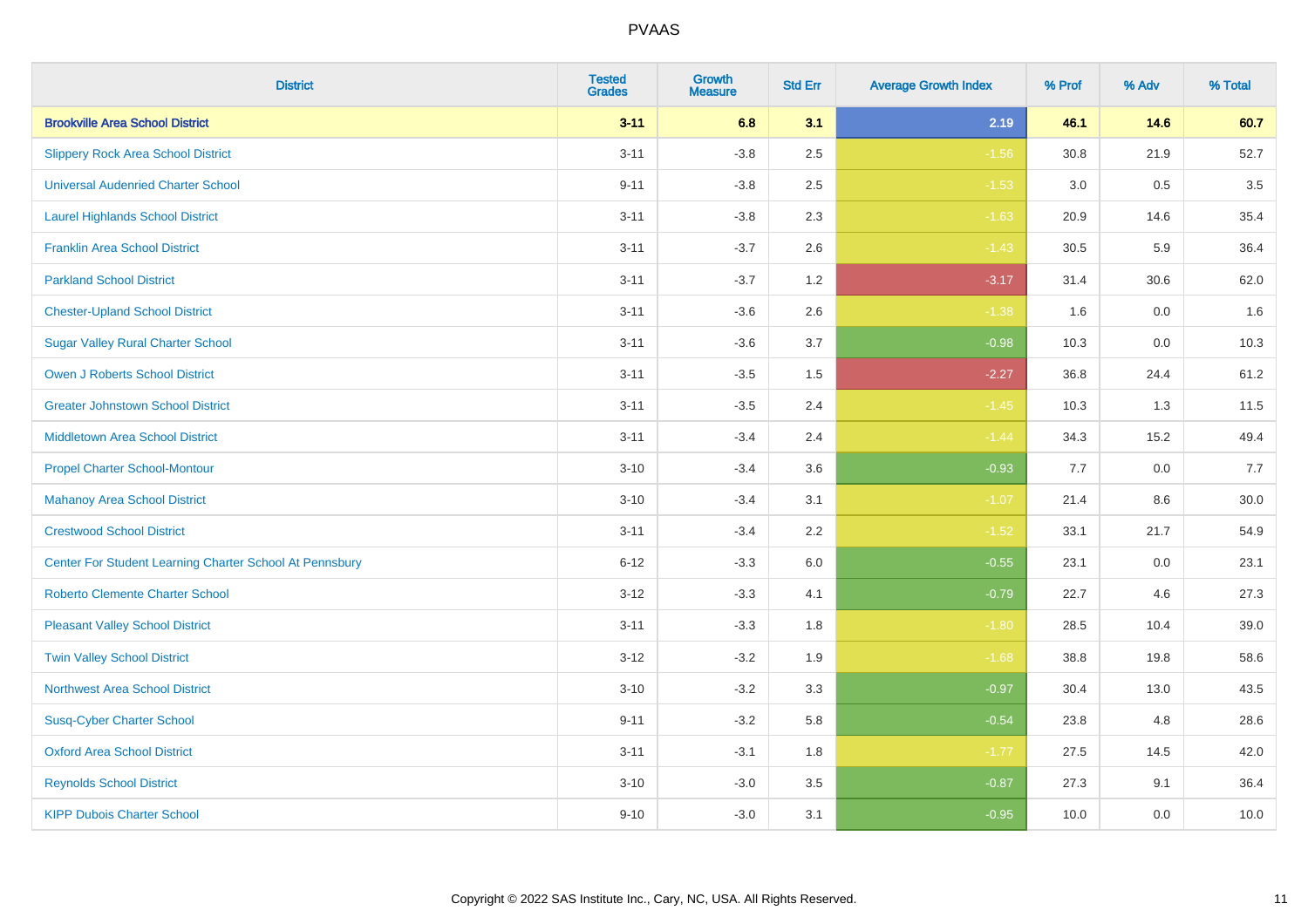| <b>District</b>                                         | <b>Tested</b><br><b>Grades</b> | <b>Growth</b><br><b>Measure</b> | <b>Std Err</b> | <b>Average Growth Index</b> | % Prof | % Adv   | % Total |
|---------------------------------------------------------|--------------------------------|---------------------------------|----------------|-----------------------------|--------|---------|---------|
| <b>Brookville Area School District</b>                  | $3 - 11$                       | 6.8                             | 3.1            | 2.19                        | 46.1   | 14.6    | 60.7    |
| <b>Slippery Rock Area School District</b>               | $3 - 11$                       | $-3.8$                          | 2.5            | $-1.56$                     | 30.8   | 21.9    | 52.7    |
| <b>Universal Audenried Charter School</b>               | $9 - 11$                       | $-3.8$                          | 2.5            | $-1.53$                     | 3.0    | 0.5     | 3.5     |
| <b>Laurel Highlands School District</b>                 | $3 - 11$                       | $-3.8$                          | 2.3            | $-1.63$                     | 20.9   | 14.6    | 35.4    |
| <b>Franklin Area School District</b>                    | $3 - 11$                       | $-3.7$                          | 2.6            | $-1.43$                     | 30.5   | 5.9     | 36.4    |
| <b>Parkland School District</b>                         | $3 - 11$                       | $-3.7$                          | 1.2            | $-3.17$                     | 31.4   | 30.6    | 62.0    |
| <b>Chester-Upland School District</b>                   | $3 - 11$                       | $-3.6$                          | 2.6            | $-1.38$                     | 1.6    | $0.0\,$ | 1.6     |
| <b>Sugar Valley Rural Charter School</b>                | $3 - 11$                       | $-3.6$                          | 3.7            | $-0.98$                     | 10.3   | 0.0     | 10.3    |
| <b>Owen J Roberts School District</b>                   | $3 - 11$                       | $-3.5$                          | 1.5            | $-2.27$                     | 36.8   | 24.4    | 61.2    |
| <b>Greater Johnstown School District</b>                | $3 - 11$                       | $-3.5$                          | 2.4            | $-1.45$                     | 10.3   | 1.3     | 11.5    |
| <b>Middletown Area School District</b>                  | $3 - 11$                       | $-3.4$                          | 2.4            | $-1.44$                     | 34.3   | 15.2    | 49.4    |
| <b>Propel Charter School-Montour</b>                    | $3 - 10$                       | $-3.4$                          | 3.6            | $-0.93$                     | 7.7    | 0.0     | 7.7     |
| <b>Mahanoy Area School District</b>                     | $3 - 10$                       | $-3.4$                          | 3.1            | $-1.07$                     | 21.4   | 8.6     | 30.0    |
| <b>Crestwood School District</b>                        | $3 - 11$                       | $-3.4$                          | 2.2            | $-1.52$                     | 33.1   | 21.7    | 54.9    |
| Center For Student Learning Charter School At Pennsbury | $6 - 12$                       | $-3.3$                          | 6.0            | $-0.55$                     | 23.1   | 0.0     | 23.1    |
| <b>Roberto Clemente Charter School</b>                  | $3 - 12$                       | $-3.3$                          | 4.1            | $-0.79$                     | 22.7   | 4.6     | 27.3    |
| <b>Pleasant Valley School District</b>                  | $3 - 11$                       | $-3.3$                          | 1.8            | $-1.80$                     | 28.5   | 10.4    | 39.0    |
| <b>Twin Valley School District</b>                      | $3 - 12$                       | $-3.2$                          | 1.9            | $-1.68$                     | 38.8   | 19.8    | 58.6    |
| <b>Northwest Area School District</b>                   | $3 - 10$                       | $-3.2$                          | 3.3            | $-0.97$                     | 30.4   | 13.0    | 43.5    |
| <b>Susq-Cyber Charter School</b>                        | $9 - 11$                       | $-3.2$                          | 5.8            | $-0.54$                     | 23.8   | 4.8     | 28.6    |
| <b>Oxford Area School District</b>                      | $3 - 11$                       | $-3.1$                          | 1.8            | $-1.77$                     | 27.5   | 14.5    | 42.0    |
| <b>Reynolds School District</b>                         | $3 - 10$                       | $-3.0$                          | 3.5            | $-0.87$                     | 27.3   | 9.1     | 36.4    |
| <b>KIPP Dubois Charter School</b>                       | $9 - 10$                       | $-3.0$                          | 3.1            | $-0.95$                     | 10.0   | 0.0     | 10.0    |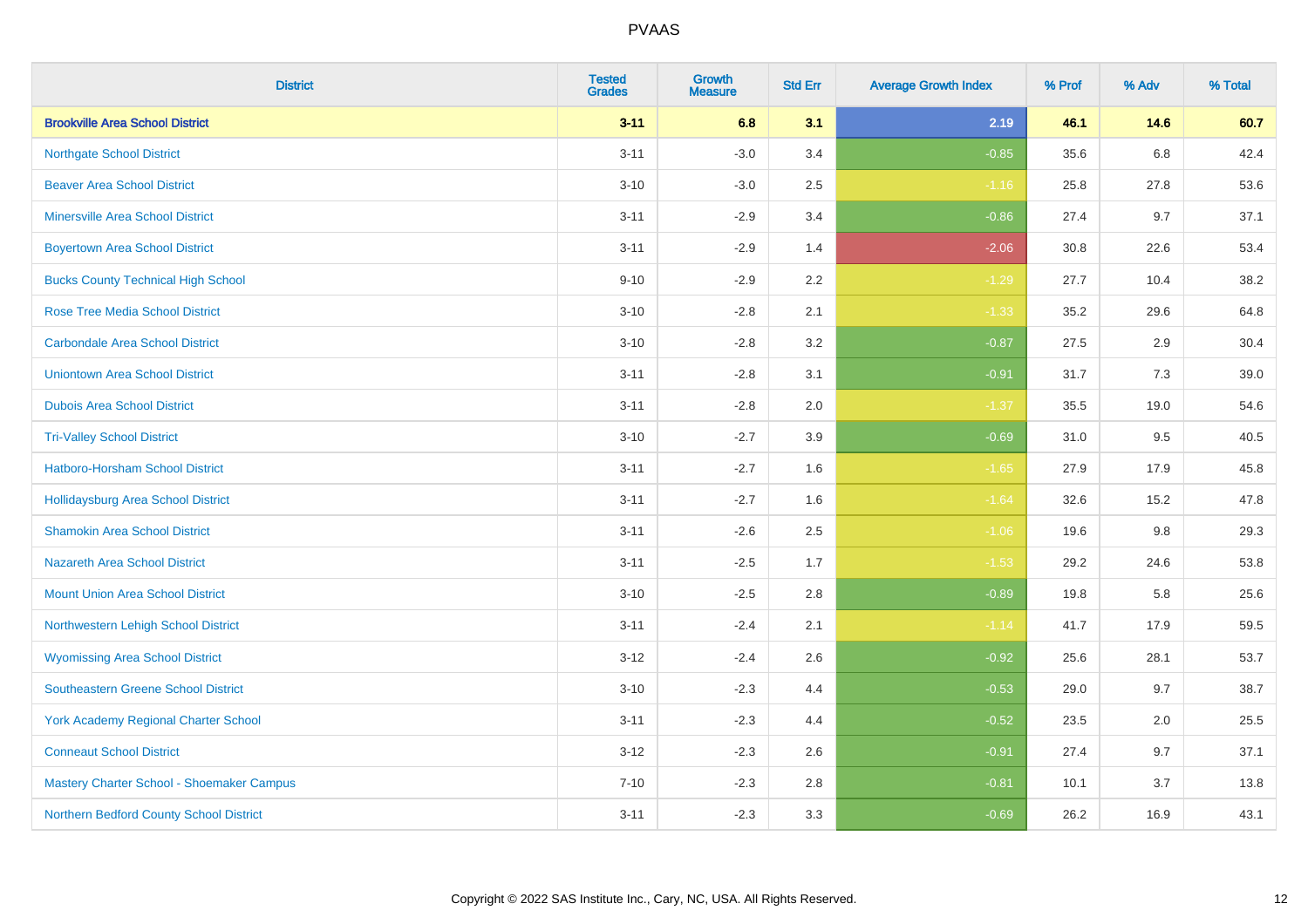| <b>District</b>                             | <b>Tested</b><br><b>Grades</b> | <b>Growth</b><br><b>Measure</b> | <b>Std Err</b> | <b>Average Growth Index</b> | % Prof | % Adv | % Total |
|---------------------------------------------|--------------------------------|---------------------------------|----------------|-----------------------------|--------|-------|---------|
| <b>Brookville Area School District</b>      | $3 - 11$                       | 6.8                             | 3.1            | 2.19                        | 46.1   | 14.6  | 60.7    |
| <b>Northgate School District</b>            | $3 - 11$                       | $-3.0$                          | 3.4            | $-0.85$                     | 35.6   | 6.8   | 42.4    |
| <b>Beaver Area School District</b>          | $3 - 10$                       | $-3.0$                          | 2.5            | $-1.16$                     | 25.8   | 27.8  | 53.6    |
| <b>Minersville Area School District</b>     | $3 - 11$                       | $-2.9$                          | 3.4            | $-0.86$                     | 27.4   | 9.7   | 37.1    |
| <b>Boyertown Area School District</b>       | $3 - 11$                       | $-2.9$                          | 1.4            | $-2.06$                     | 30.8   | 22.6  | 53.4    |
| <b>Bucks County Technical High School</b>   | $9 - 10$                       | $-2.9$                          | 2.2            | $-1.29$                     | 27.7   | 10.4  | 38.2    |
| <b>Rose Tree Media School District</b>      | $3 - 10$                       | $-2.8$                          | 2.1            | $-1.33$                     | 35.2   | 29.6  | 64.8    |
| <b>Carbondale Area School District</b>      | $3 - 10$                       | $-2.8$                          | 3.2            | $-0.87$                     | 27.5   | 2.9   | 30.4    |
| <b>Uniontown Area School District</b>       | $3 - 11$                       | $-2.8$                          | 3.1            | $-0.91$                     | 31.7   | 7.3   | 39.0    |
| <b>Dubois Area School District</b>          | $3 - 11$                       | $-2.8$                          | 2.0            | $-1.37$                     | 35.5   | 19.0  | 54.6    |
| <b>Tri-Valley School District</b>           | $3 - 10$                       | $-2.7$                          | 3.9            | $-0.69$                     | 31.0   | 9.5   | 40.5    |
| Hatboro-Horsham School District             | $3 - 11$                       | $-2.7$                          | 1.6            | $-1.65$                     | 27.9   | 17.9  | 45.8    |
| Hollidaysburg Area School District          | $3 - 11$                       | $-2.7$                          | 1.6            | $-1.64$                     | 32.6   | 15.2  | 47.8    |
| <b>Shamokin Area School District</b>        | $3 - 11$                       | $-2.6$                          | 2.5            | $-1.06$                     | 19.6   | 9.8   | 29.3    |
| <b>Nazareth Area School District</b>        | $3 - 11$                       | $-2.5$                          | 1.7            | $-1.53$                     | 29.2   | 24.6  | 53.8    |
| <b>Mount Union Area School District</b>     | $3 - 10$                       | $-2.5$                          | 2.8            | $-0.89$                     | 19.8   | 5.8   | 25.6    |
| Northwestern Lehigh School District         | $3 - 11$                       | $-2.4$                          | 2.1            | $-1.14$                     | 41.7   | 17.9  | 59.5    |
| <b>Wyomissing Area School District</b>      | $3 - 12$                       | $-2.4$                          | 2.6            | $-0.92$                     | 25.6   | 28.1  | 53.7    |
| <b>Southeastern Greene School District</b>  | $3 - 10$                       | $-2.3$                          | 4.4            | $-0.53$                     | 29.0   | 9.7   | 38.7    |
| <b>York Academy Regional Charter School</b> | $3 - 11$                       | $-2.3$                          | 4.4            | $-0.52$                     | 23.5   | 2.0   | 25.5    |
| <b>Conneaut School District</b>             | $3 - 12$                       | $-2.3$                          | 2.6            | $-0.91$                     | 27.4   | 9.7   | 37.1    |
| Mastery Charter School - Shoemaker Campus   | $7 - 10$                       | $-2.3$                          | 2.8            | $-0.81$                     | 10.1   | 3.7   | 13.8    |
| Northern Bedford County School District     | $3 - 11$                       | $-2.3$                          | 3.3            | $-0.69$                     | 26.2   | 16.9  | 43.1    |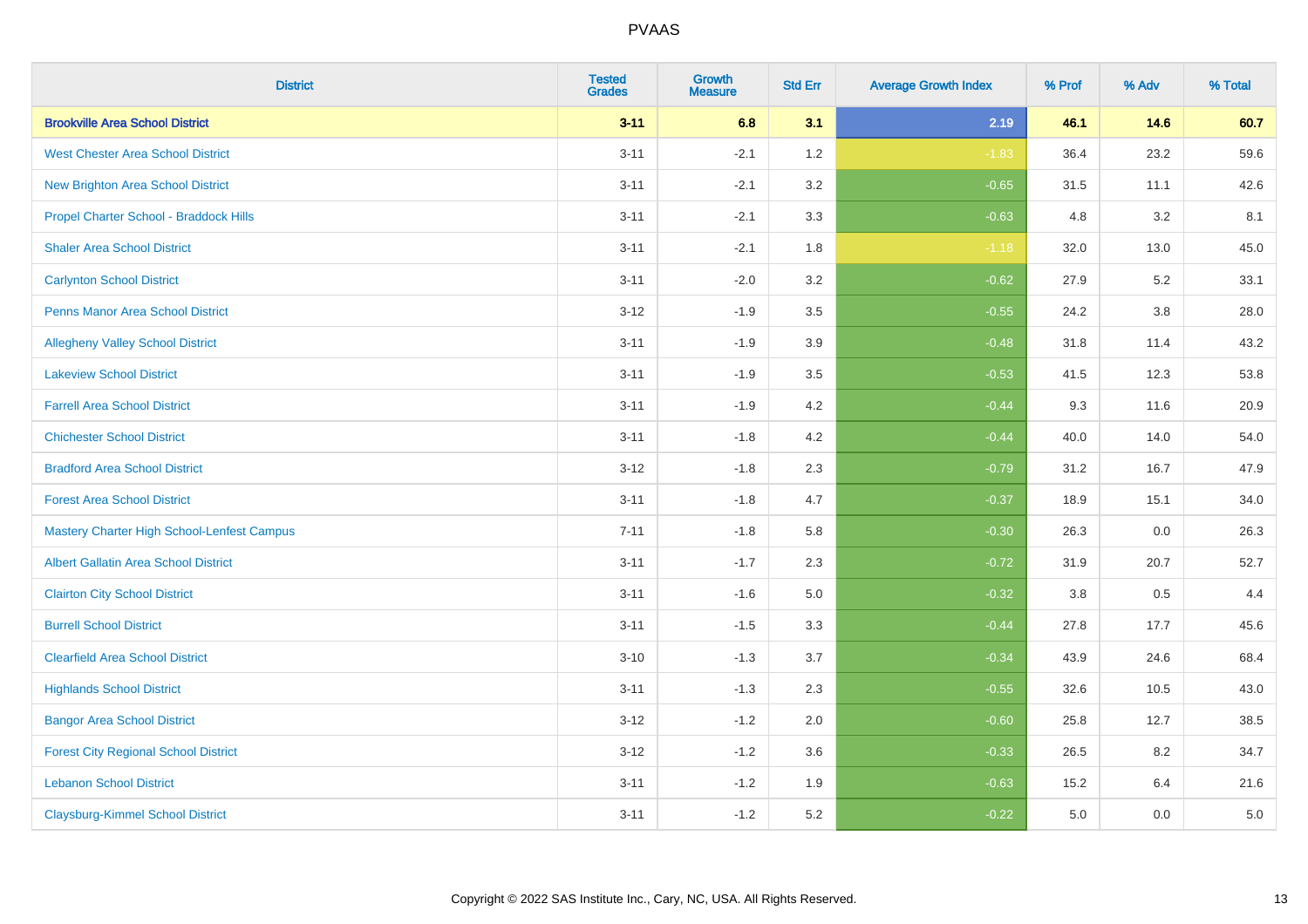| <b>District</b>                                   | <b>Tested</b><br><b>Grades</b> | <b>Growth</b><br><b>Measure</b> | <b>Std Err</b> | <b>Average Growth Index</b> | % Prof | % Adv   | % Total |
|---------------------------------------------------|--------------------------------|---------------------------------|----------------|-----------------------------|--------|---------|---------|
| <b>Brookville Area School District</b>            | $3 - 11$                       | 6.8                             | 3.1            | 2.19                        | 46.1   | 14.6    | 60.7    |
| <b>West Chester Area School District</b>          | $3 - 11$                       | $-2.1$                          | 1.2            | $-1.83$                     | 36.4   | 23.2    | 59.6    |
| New Brighton Area School District                 | $3 - 11$                       | $-2.1$                          | 3.2            | $-0.65$                     | 31.5   | 11.1    | 42.6    |
| Propel Charter School - Braddock Hills            | $3 - 11$                       | $-2.1$                          | 3.3            | $-0.63$                     | 4.8    | 3.2     | 8.1     |
| <b>Shaler Area School District</b>                | $3 - 11$                       | $-2.1$                          | 1.8            | $-1.18$                     | 32.0   | 13.0    | 45.0    |
| <b>Carlynton School District</b>                  | $3 - 11$                       | $-2.0$                          | 3.2            | $-0.62$                     | 27.9   | 5.2     | 33.1    |
| <b>Penns Manor Area School District</b>           | $3-12$                         | $-1.9$                          | 3.5            | $-0.55$                     | 24.2   | $3.8\,$ | 28.0    |
| <b>Allegheny Valley School District</b>           | $3 - 11$                       | $-1.9$                          | 3.9            | $-0.48$                     | 31.8   | 11.4    | 43.2    |
| <b>Lakeview School District</b>                   | $3 - 11$                       | $-1.9$                          | 3.5            | $-0.53$                     | 41.5   | 12.3    | 53.8    |
| <b>Farrell Area School District</b>               | $3 - 11$                       | $-1.9$                          | 4.2            | $-0.44$                     | 9.3    | 11.6    | 20.9    |
| <b>Chichester School District</b>                 | $3 - 11$                       | $-1.8$                          | 4.2            | $-0.44$                     | 40.0   | 14.0    | 54.0    |
| <b>Bradford Area School District</b>              | $3 - 12$                       | $-1.8$                          | 2.3            | $-0.79$                     | 31.2   | 16.7    | 47.9    |
| <b>Forest Area School District</b>                | $3 - 11$                       | $-1.8$                          | 4.7            | $-0.37$                     | 18.9   | 15.1    | 34.0    |
| <b>Mastery Charter High School-Lenfest Campus</b> | $7 - 11$                       | $-1.8$                          | 5.8            | $-0.30$                     | 26.3   | 0.0     | 26.3    |
| <b>Albert Gallatin Area School District</b>       | $3 - 11$                       | $-1.7$                          | 2.3            | $-0.72$                     | 31.9   | 20.7    | 52.7    |
| <b>Clairton City School District</b>              | $3 - 11$                       | $-1.6$                          | 5.0            | $-0.32$                     | 3.8    | 0.5     | 4.4     |
| <b>Burrell School District</b>                    | $3 - 11$                       | $-1.5$                          | 3.3            | $-0.44$                     | 27.8   | 17.7    | 45.6    |
| <b>Clearfield Area School District</b>            | $3 - 10$                       | $-1.3$                          | 3.7            | $-0.34$                     | 43.9   | 24.6    | 68.4    |
| <b>Highlands School District</b>                  | $3 - 11$                       | $-1.3$                          | 2.3            | $-0.55$                     | 32.6   | 10.5    | 43.0    |
| <b>Bangor Area School District</b>                | $3 - 12$                       | $-1.2$                          | 2.0            | $-0.60$                     | 25.8   | 12.7    | 38.5    |
| <b>Forest City Regional School District</b>       | $3 - 12$                       | $-1.2$                          | 3.6            | $-0.33$                     | 26.5   | 8.2     | 34.7    |
| <b>Lebanon School District</b>                    | $3 - 11$                       | $-1.2$                          | 1.9            | $-0.63$                     | 15.2   | 6.4     | 21.6    |
| <b>Claysburg-Kimmel School District</b>           | $3 - 11$                       | $-1.2$                          | 5.2            | $-0.22$                     | 5.0    | 0.0     | 5.0     |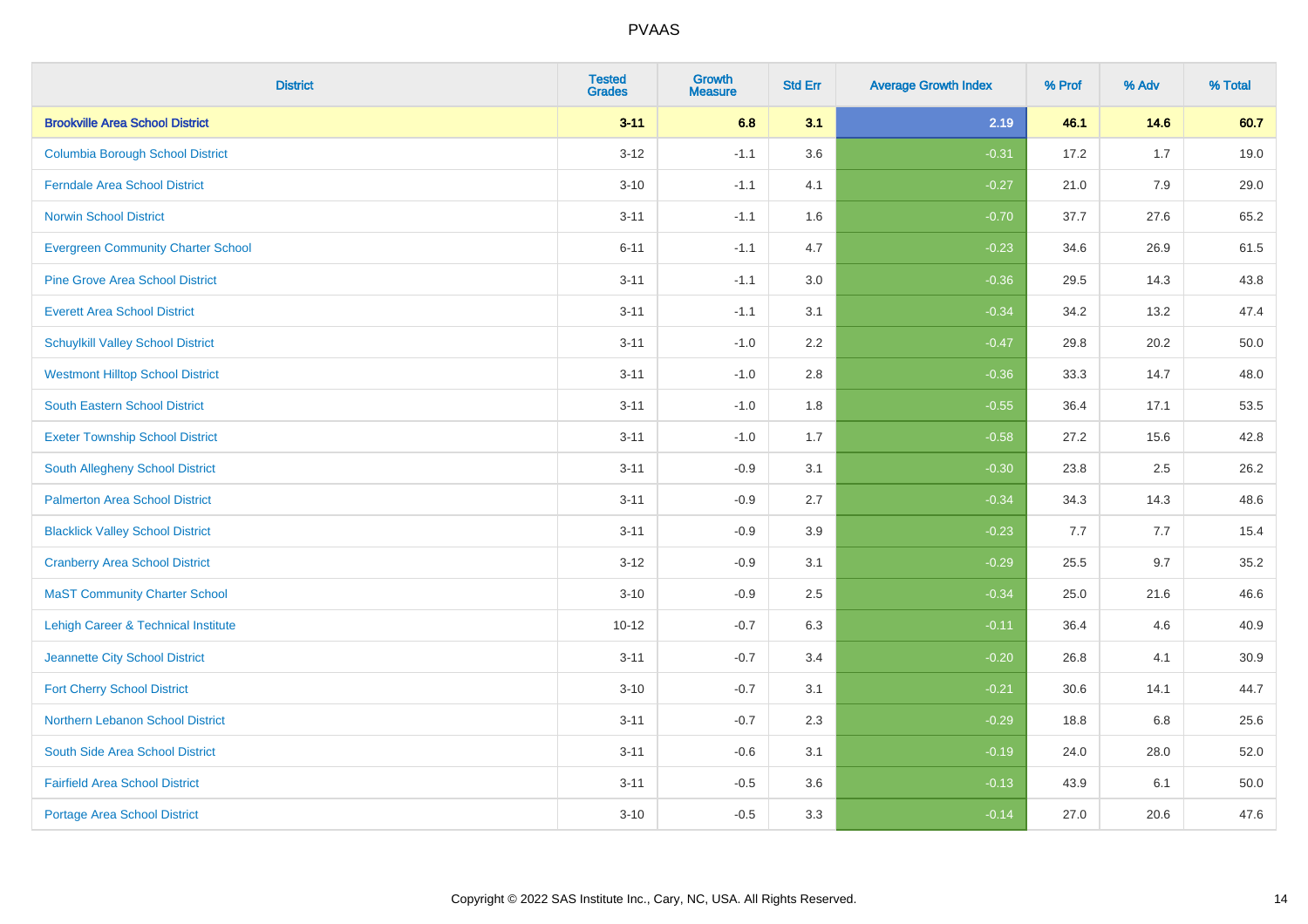| <b>District</b>                                | <b>Tested</b><br><b>Grades</b> | <b>Growth</b><br><b>Measure</b> | <b>Std Err</b> | <b>Average Growth Index</b> | % Prof | % Adv | % Total |
|------------------------------------------------|--------------------------------|---------------------------------|----------------|-----------------------------|--------|-------|---------|
| <b>Brookville Area School District</b>         | $3 - 11$                       | 6.8                             | 3.1            | 2.19                        | 46.1   | 14.6  | 60.7    |
| <b>Columbia Borough School District</b>        | $3 - 12$                       | $-1.1$                          | 3.6            | $-0.31$                     | 17.2   | 1.7   | 19.0    |
| <b>Ferndale Area School District</b>           | $3 - 10$                       | $-1.1$                          | 4.1            | $-0.27$                     | 21.0   | 7.9   | 29.0    |
| <b>Norwin School District</b>                  | $3 - 11$                       | $-1.1$                          | 1.6            | $-0.70$                     | 37.7   | 27.6  | 65.2    |
| <b>Evergreen Community Charter School</b>      | $6 - 11$                       | $-1.1$                          | 4.7            | $-0.23$                     | 34.6   | 26.9  | 61.5    |
| <b>Pine Grove Area School District</b>         | $3 - 11$                       | $-1.1$                          | 3.0            | $-0.36$                     | 29.5   | 14.3  | 43.8    |
| <b>Everett Area School District</b>            | $3 - 11$                       | $-1.1$                          | 3.1            | $-0.34$                     | 34.2   | 13.2  | 47.4    |
| <b>Schuylkill Valley School District</b>       | $3 - 11$                       | $-1.0$                          | 2.2            | $-0.47$                     | 29.8   | 20.2  | 50.0    |
| <b>Westmont Hilltop School District</b>        | $3 - 11$                       | $-1.0$                          | 2.8            | $-0.36$                     | 33.3   | 14.7  | 48.0    |
| <b>South Eastern School District</b>           | $3 - 11$                       | $-1.0$                          | 1.8            | $-0.55$                     | 36.4   | 17.1  | 53.5    |
| <b>Exeter Township School District</b>         | $3 - 11$                       | $-1.0$                          | 1.7            | $-0.58$                     | 27.2   | 15.6  | 42.8    |
| South Allegheny School District                | $3 - 11$                       | $-0.9$                          | 3.1            | $-0.30$                     | 23.8   | 2.5   | 26.2    |
| <b>Palmerton Area School District</b>          | $3 - 11$                       | $-0.9$                          | 2.7            | $-0.34$                     | 34.3   | 14.3  | 48.6    |
| <b>Blacklick Valley School District</b>        | $3 - 11$                       | $-0.9$                          | 3.9            | $-0.23$                     | 7.7    | 7.7   | 15.4    |
| <b>Cranberry Area School District</b>          | $3 - 12$                       | $-0.9$                          | 3.1            | $-0.29$                     | 25.5   | 9.7   | 35.2    |
| <b>MaST Community Charter School</b>           | $3 - 10$                       | $-0.9$                          | 2.5            | $-0.34$                     | 25.0   | 21.6  | 46.6    |
| <b>Lehigh Career &amp; Technical Institute</b> | $10 - 12$                      | $-0.7$                          | 6.3            | $-0.11$                     | 36.4   | 4.6   | 40.9    |
| Jeannette City School District                 | $3 - 11$                       | $-0.7$                          | 3.4            | $-0.20$                     | 26.8   | 4.1   | 30.9    |
| <b>Fort Cherry School District</b>             | $3 - 10$                       | $-0.7$                          | 3.1            | $-0.21$                     | 30.6   | 14.1  | 44.7    |
| Northern Lebanon School District               | $3 - 11$                       | $-0.7$                          | 2.3            | $-0.29$                     | 18.8   | 6.8   | 25.6    |
| South Side Area School District                | $3 - 11$                       | $-0.6$                          | 3.1            | $-0.19$                     | 24.0   | 28.0  | 52.0    |
| <b>Fairfield Area School District</b>          | $3 - 11$                       | $-0.5$                          | 3.6            | $-0.13$                     | 43.9   | 6.1   | 50.0    |
| <b>Portage Area School District</b>            | $3 - 10$                       | $-0.5$                          | 3.3            | $-0.14$                     | 27.0   | 20.6  | 47.6    |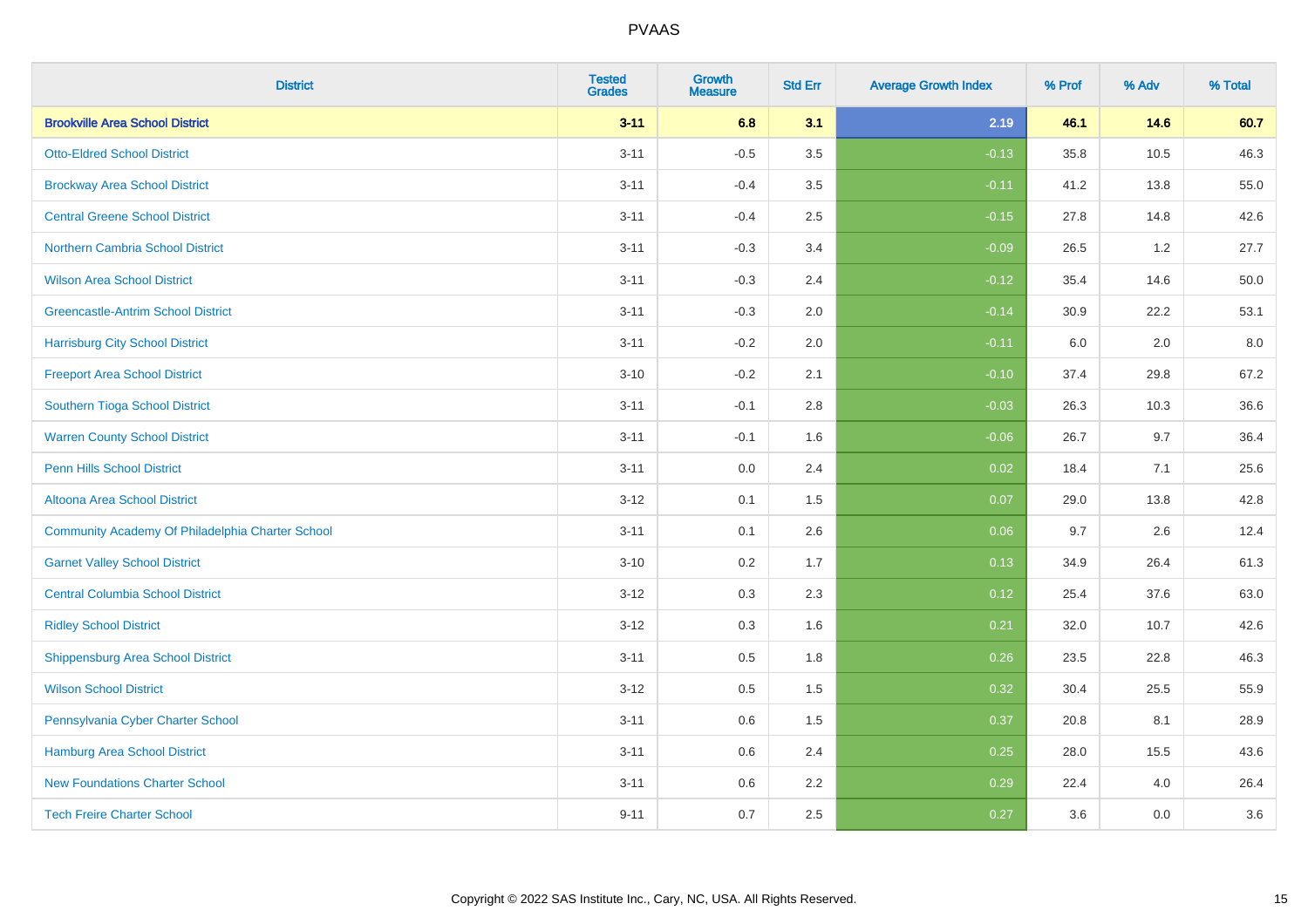| <b>District</b>                                  | <b>Tested</b><br><b>Grades</b> | <b>Growth</b><br><b>Measure</b> | <b>Std Err</b> | <b>Average Growth Index</b> | % Prof | % Adv | % Total |
|--------------------------------------------------|--------------------------------|---------------------------------|----------------|-----------------------------|--------|-------|---------|
| <b>Brookville Area School District</b>           | $3 - 11$                       | 6.8                             | 3.1            | 2.19                        | 46.1   | 14.6  | 60.7    |
| <b>Otto-Eldred School District</b>               | $3 - 11$                       | $-0.5$                          | 3.5            | $-0.13$                     | 35.8   | 10.5  | 46.3    |
| <b>Brockway Area School District</b>             | $3 - 11$                       | $-0.4$                          | 3.5            | $-0.11$                     | 41.2   | 13.8  | 55.0    |
| <b>Central Greene School District</b>            | $3 - 11$                       | $-0.4$                          | 2.5            | $-0.15$                     | 27.8   | 14.8  | 42.6    |
| <b>Northern Cambria School District</b>          | $3 - 11$                       | $-0.3$                          | 3.4            | $-0.09$                     | 26.5   | 1.2   | 27.7    |
| <b>Wilson Area School District</b>               | $3 - 11$                       | $-0.3$                          | 2.4            | $-0.12$                     | 35.4   | 14.6  | 50.0    |
| <b>Greencastle-Antrim School District</b>        | $3 - 11$                       | $-0.3$                          | 2.0            | $-0.14$                     | 30.9   | 22.2  | 53.1    |
| <b>Harrisburg City School District</b>           | $3 - 11$                       | $-0.2$                          | 2.0            | $-0.11$                     | 6.0    | 2.0   | 8.0     |
| <b>Freeport Area School District</b>             | $3 - 10$                       | $-0.2$                          | 2.1            | $-0.10$                     | 37.4   | 29.8  | 67.2    |
| Southern Tioga School District                   | $3 - 11$                       | $-0.1$                          | 2.8            | $-0.03$                     | 26.3   | 10.3  | 36.6    |
| <b>Warren County School District</b>             | $3 - 11$                       | $-0.1$                          | 1.6            | $-0.06$                     | 26.7   | 9.7   | 36.4    |
| <b>Penn Hills School District</b>                | $3 - 11$                       | 0.0                             | 2.4            | 0.02                        | 18.4   | 7.1   | 25.6    |
| Altoona Area School District                     | $3 - 12$                       | 0.1                             | 1.5            | 0.07                        | 29.0   | 13.8  | 42.8    |
| Community Academy Of Philadelphia Charter School | $3 - 11$                       | 0.1                             | 2.6            | 0.06                        | 9.7    | 2.6   | 12.4    |
| <b>Garnet Valley School District</b>             | $3 - 10$                       | 0.2                             | 1.7            | 0.13                        | 34.9   | 26.4  | 61.3    |
| <b>Central Columbia School District</b>          | $3 - 12$                       | 0.3                             | 2.3            | 0.12                        | 25.4   | 37.6  | 63.0    |
| <b>Ridley School District</b>                    | $3 - 12$                       | 0.3                             | 1.6            | 0.21                        | 32.0   | 10.7  | 42.6    |
| <b>Shippensburg Area School District</b>         | $3 - 11$                       | 0.5                             | 1.8            | 0.26                        | 23.5   | 22.8  | 46.3    |
| <b>Wilson School District</b>                    | $3-12$                         | 0.5                             | 1.5            | 0.32                        | 30.4   | 25.5  | 55.9    |
| Pennsylvania Cyber Charter School                | $3 - 11$                       | 0.6                             | 1.5            | 0.37                        | 20.8   | 8.1   | 28.9    |
| <b>Hamburg Area School District</b>              | $3 - 11$                       | 0.6                             | 2.4            | 0.25                        | 28.0   | 15.5  | 43.6    |
| <b>New Foundations Charter School</b>            | $3 - 11$                       | 0.6                             | 2.2            | 0.29                        | 22.4   | 4.0   | 26.4    |
| <b>Tech Freire Charter School</b>                | $9 - 11$                       | 0.7                             | 2.5            | 0.27                        | 3.6    | 0.0   | 3.6     |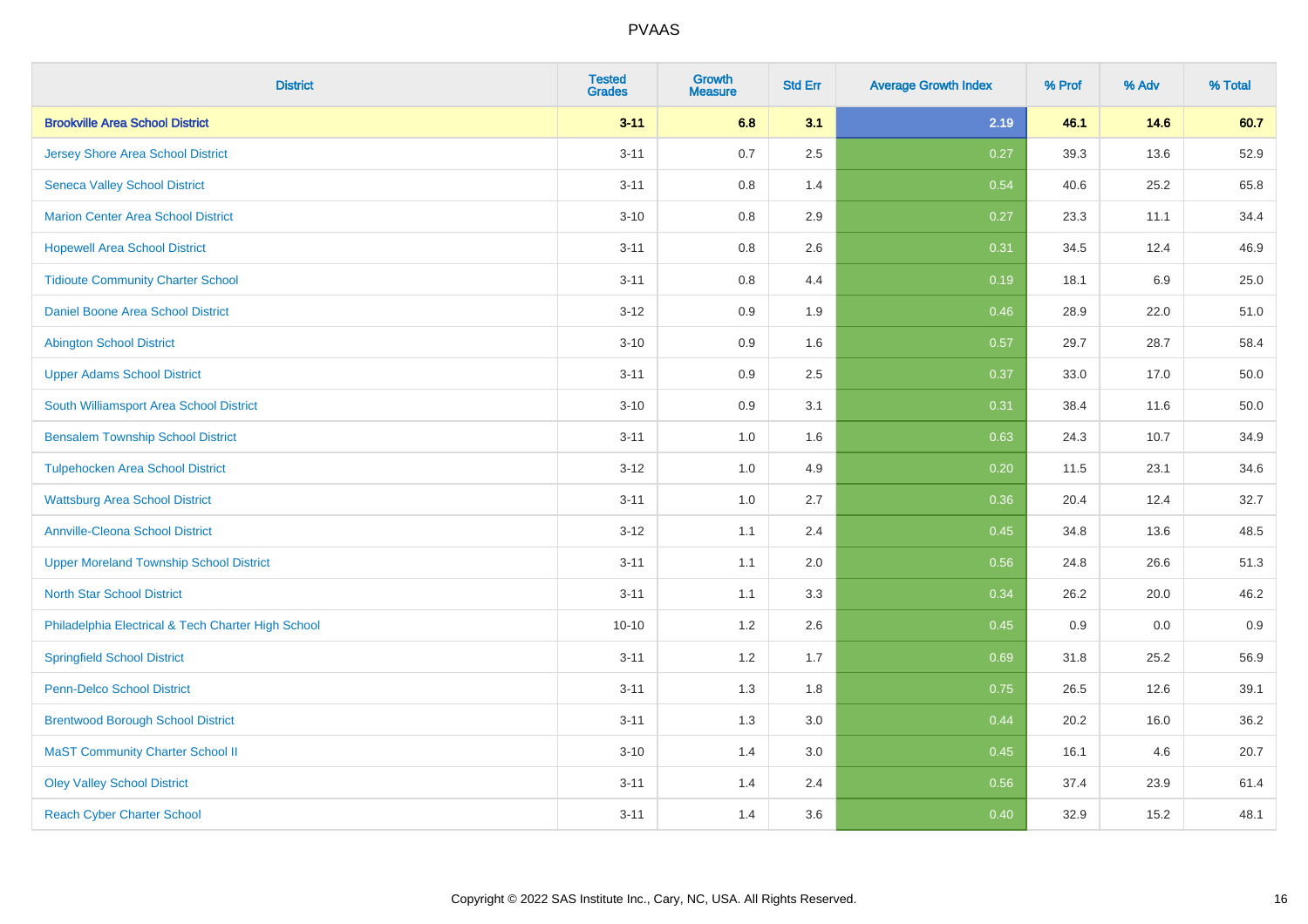| <b>District</b>                                    | <b>Tested</b><br><b>Grades</b> | <b>Growth</b><br><b>Measure</b> | <b>Std Err</b> | <b>Average Growth Index</b> | % Prof | % Adv | % Total |
|----------------------------------------------------|--------------------------------|---------------------------------|----------------|-----------------------------|--------|-------|---------|
| <b>Brookville Area School District</b>             | $3 - 11$                       | 6.8                             | 3.1            | 2.19                        | 46.1   | 14.6  | 60.7    |
| <b>Jersey Shore Area School District</b>           | $3 - 11$                       | 0.7                             | 2.5            | 0.27                        | 39.3   | 13.6  | 52.9    |
| <b>Seneca Valley School District</b>               | $3 - 11$                       | 0.8                             | 1.4            | 0.54                        | 40.6   | 25.2  | 65.8    |
| <b>Marion Center Area School District</b>          | $3 - 10$                       | 0.8                             | 2.9            | 0.27                        | 23.3   | 11.1  | 34.4    |
| <b>Hopewell Area School District</b>               | $3 - 11$                       | 0.8                             | 2.6            | 0.31                        | 34.5   | 12.4  | 46.9    |
| <b>Tidioute Community Charter School</b>           | $3 - 11$                       | 0.8                             | 4.4            | 0.19                        | 18.1   | 6.9   | 25.0    |
| Daniel Boone Area School District                  | $3-12$                         | 0.9                             | 1.9            | 0.46                        | 28.9   | 22.0  | 51.0    |
| <b>Abington School District</b>                    | $3 - 10$                       | 0.9                             | 1.6            | 0.57                        | 29.7   | 28.7  | 58.4    |
| <b>Upper Adams School District</b>                 | $3 - 11$                       | 0.9                             | 2.5            | 0.37                        | 33.0   | 17.0  | 50.0    |
| South Williamsport Area School District            | $3 - 10$                       | 0.9                             | 3.1            | 0.31                        | 38.4   | 11.6  | 50.0    |
| <b>Bensalem Township School District</b>           | $3 - 11$                       | 1.0                             | 1.6            | 0.63                        | 24.3   | 10.7  | 34.9    |
| <b>Tulpehocken Area School District</b>            | $3 - 12$                       | 1.0                             | 4.9            | 0.20                        | 11.5   | 23.1  | 34.6    |
| <b>Wattsburg Area School District</b>              | $3 - 11$                       | $1.0\,$                         | 2.7            | 0.36                        | 20.4   | 12.4  | 32.7    |
| <b>Annville-Cleona School District</b>             | $3 - 12$                       | 1.1                             | 2.4            | 0.45                        | 34.8   | 13.6  | 48.5    |
| <b>Upper Moreland Township School District</b>     | $3 - 11$                       | 1.1                             | 2.0            | 0.56                        | 24.8   | 26.6  | 51.3    |
| <b>North Star School District</b>                  | $3 - 11$                       | 1.1                             | 3.3            | 0.34                        | 26.2   | 20.0  | 46.2    |
| Philadelphia Electrical & Tech Charter High School | $10 - 10$                      | 1.2                             | 2.6            | 0.45                        | 0.9    | 0.0   | 0.9     |
| <b>Springfield School District</b>                 | $3 - 11$                       | 1.2                             | 1.7            | 0.69                        | 31.8   | 25.2  | 56.9    |
| <b>Penn-Delco School District</b>                  | $3 - 11$                       | 1.3                             | 1.8            | 0.75                        | 26.5   | 12.6  | 39.1    |
| <b>Brentwood Borough School District</b>           | $3 - 11$                       | 1.3                             | 3.0            | 0.44                        | 20.2   | 16.0  | 36.2    |
| <b>MaST Community Charter School II</b>            | $3 - 10$                       | 1.4                             | 3.0            | 0.45                        | 16.1   | 4.6   | 20.7    |
| <b>Oley Valley School District</b>                 | $3 - 11$                       | 1.4                             | 2.4            | 0.56                        | 37.4   | 23.9  | 61.4    |
| <b>Reach Cyber Charter School</b>                  | $3 - 11$                       | 1.4                             | 3.6            | 0.40                        | 32.9   | 15.2  | 48.1    |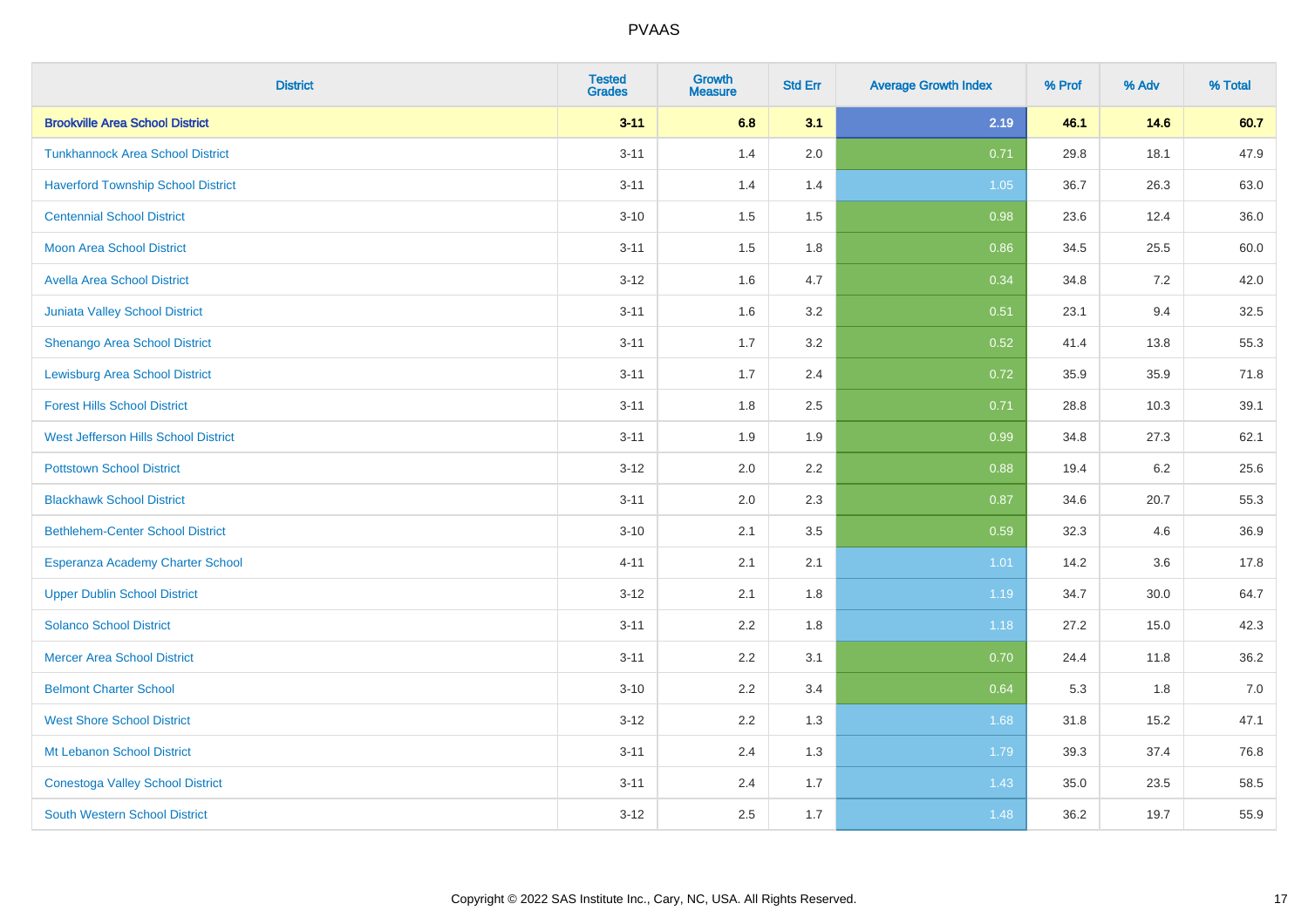| <b>District</b>                           | <b>Tested</b><br><b>Grades</b> | <b>Growth</b><br><b>Measure</b> | <b>Std Err</b> | <b>Average Growth Index</b> | % Prof | % Adv | % Total |
|-------------------------------------------|--------------------------------|---------------------------------|----------------|-----------------------------|--------|-------|---------|
| <b>Brookville Area School District</b>    | $3 - 11$                       | 6.8                             | 3.1            | 2.19                        | 46.1   | 14.6  | 60.7    |
| <b>Tunkhannock Area School District</b>   | $3 - 11$                       | 1.4                             | 2.0            | 0.71                        | 29.8   | 18.1  | 47.9    |
| <b>Haverford Township School District</b> | $3 - 11$                       | 1.4                             | 1.4            | 1.05                        | 36.7   | 26.3  | 63.0    |
| <b>Centennial School District</b>         | $3 - 10$                       | 1.5                             | 1.5            | 0.98                        | 23.6   | 12.4  | 36.0    |
| <b>Moon Area School District</b>          | $3 - 11$                       | 1.5                             | 1.8            | 0.86                        | 34.5   | 25.5  | 60.0    |
| <b>Avella Area School District</b>        | $3 - 12$                       | 1.6                             | 4.7            | 0.34                        | 34.8   | 7.2   | 42.0    |
| <b>Juniata Valley School District</b>     | $3 - 11$                       | 1.6                             | 3.2            | 0.51                        | 23.1   | 9.4   | 32.5    |
| <b>Shenango Area School District</b>      | $3 - 11$                       | 1.7                             | 3.2            | 0.52                        | 41.4   | 13.8  | 55.3    |
| <b>Lewisburg Area School District</b>     | $3 - 11$                       | 1.7                             | 2.4            | 0.72                        | 35.9   | 35.9  | 71.8    |
| <b>Forest Hills School District</b>       | $3 - 11$                       | 1.8                             | 2.5            | 0.71                        | 28.8   | 10.3  | 39.1    |
| West Jefferson Hills School District      | $3 - 11$                       | 1.9                             | 1.9            | 0.99                        | 34.8   | 27.3  | 62.1    |
| <b>Pottstown School District</b>          | $3 - 12$                       | 2.0                             | 2.2            | 0.88                        | 19.4   | 6.2   | 25.6    |
| <b>Blackhawk School District</b>          | $3 - 11$                       | 2.0                             | 2.3            | 0.87                        | 34.6   | 20.7  | 55.3    |
| <b>Bethlehem-Center School District</b>   | $3 - 10$                       | 2.1                             | 3.5            | 0.59                        | 32.3   | 4.6   | 36.9    |
| Esperanza Academy Charter School          | $4 - 11$                       | 2.1                             | 2.1            | 1.01                        | 14.2   | 3.6   | 17.8    |
| <b>Upper Dublin School District</b>       | $3 - 12$                       | 2.1                             | 1.8            | 1.19                        | 34.7   | 30.0  | 64.7    |
| <b>Solanco School District</b>            | $3 - 11$                       | 2.2                             | 1.8            | 1.18                        | 27.2   | 15.0  | 42.3    |
| <b>Mercer Area School District</b>        | $3 - 11$                       | 2.2                             | 3.1            | 0.70                        | 24.4   | 11.8  | 36.2    |
| <b>Belmont Charter School</b>             | $3 - 10$                       | 2.2                             | 3.4            | 0.64                        | 5.3    | 1.8   | $7.0$   |
| <b>West Shore School District</b>         | $3 - 12$                       | 2.2                             | 1.3            | 1.68                        | 31.8   | 15.2  | 47.1    |
| Mt Lebanon School District                | $3 - 11$                       | 2.4                             | 1.3            | 1.79                        | 39.3   | 37.4  | 76.8    |
| <b>Conestoga Valley School District</b>   | $3 - 11$                       | 2.4                             | 1.7            | 1.43                        | 35.0   | 23.5  | 58.5    |
| <b>South Western School District</b>      | $3 - 12$                       | 2.5                             | 1.7            | 1.48                        | 36.2   | 19.7  | 55.9    |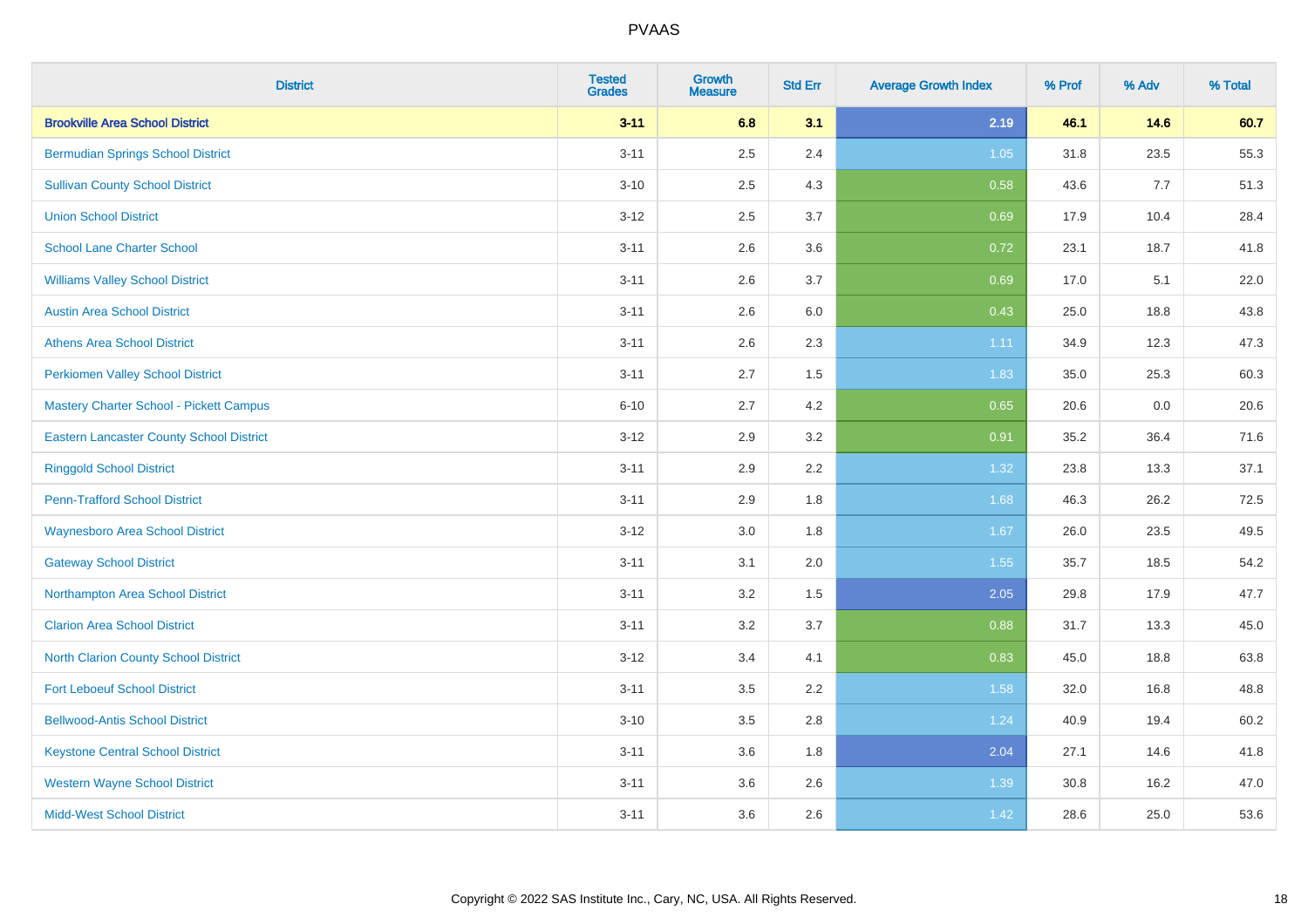| <b>District</b>                                 | <b>Tested</b><br><b>Grades</b> | <b>Growth</b><br><b>Measure</b> | <b>Std Err</b> | <b>Average Growth Index</b> | % Prof | % Adv | % Total |
|-------------------------------------------------|--------------------------------|---------------------------------|----------------|-----------------------------|--------|-------|---------|
| <b>Brookville Area School District</b>          | $3 - 11$                       | 6.8                             | 3.1            | 2.19                        | 46.1   | 14.6  | 60.7    |
| <b>Bermudian Springs School District</b>        | $3 - 11$                       | 2.5                             | 2.4            | $1.05$                      | 31.8   | 23.5  | 55.3    |
| <b>Sullivan County School District</b>          | $3 - 10$                       | 2.5                             | 4.3            | 0.58                        | 43.6   | 7.7   | 51.3    |
| <b>Union School District</b>                    | $3 - 12$                       | 2.5                             | 3.7            | 0.69                        | 17.9   | 10.4  | 28.4    |
| <b>School Lane Charter School</b>               | $3 - 11$                       | 2.6                             | 3.6            | 0.72                        | 23.1   | 18.7  | 41.8    |
| <b>Williams Valley School District</b>          | $3 - 11$                       | 2.6                             | 3.7            | 0.69                        | 17.0   | 5.1   | 22.0    |
| <b>Austin Area School District</b>              | $3 - 11$                       | 2.6                             | 6.0            | 0.43                        | 25.0   | 18.8  | 43.8    |
| <b>Athens Area School District</b>              | $3 - 11$                       | 2.6                             | 2.3            | 1.11                        | 34.9   | 12.3  | 47.3    |
| <b>Perkiomen Valley School District</b>         | $3 - 11$                       | 2.7                             | 1.5            | 1.83                        | 35.0   | 25.3  | 60.3    |
| <b>Mastery Charter School - Pickett Campus</b>  | $6 - 10$                       | 2.7                             | 4.2            | 0.65                        | 20.6   | 0.0   | 20.6    |
| <b>Eastern Lancaster County School District</b> | $3 - 12$                       | 2.9                             | 3.2            | 0.91                        | 35.2   | 36.4  | 71.6    |
| <b>Ringgold School District</b>                 | $3 - 11$                       | 2.9                             | 2.2            | 1.32                        | 23.8   | 13.3  | 37.1    |
| <b>Penn-Trafford School District</b>            | $3 - 11$                       | 2.9                             | 1.8            | 1.68                        | 46.3   | 26.2  | 72.5    |
| <b>Waynesboro Area School District</b>          | $3 - 12$                       | 3.0                             | 1.8            | 1.67                        | 26.0   | 23.5  | 49.5    |
| <b>Gateway School District</b>                  | $3 - 11$                       | 3.1                             | 2.0            | 1.55                        | 35.7   | 18.5  | 54.2    |
| Northampton Area School District                | $3 - 11$                       | 3.2                             | 1.5            | 2.05                        | 29.8   | 17.9  | 47.7    |
| <b>Clarion Area School District</b>             | $3 - 11$                       | $3.2\,$                         | 3.7            | 0.88                        | 31.7   | 13.3  | 45.0    |
| North Clarion County School District            | $3 - 12$                       | 3.4                             | 4.1            | 0.83                        | 45.0   | 18.8  | 63.8    |
| <b>Fort Leboeuf School District</b>             | $3 - 11$                       | 3.5                             | 2.2            | 1.58                        | 32.0   | 16.8  | 48.8    |
| <b>Bellwood-Antis School District</b>           | $3 - 10$                       | 3.5                             | 2.8            | 1.24                        | 40.9   | 19.4  | 60.2    |
| <b>Keystone Central School District</b>         | $3 - 11$                       | 3.6                             | 1.8            | 2.04                        | 27.1   | 14.6  | 41.8    |
| <b>Western Wayne School District</b>            | $3 - 11$                       | 3.6                             | 2.6            | 1.39                        | 30.8   | 16.2  | 47.0    |
| <b>Midd-West School District</b>                | $3 - 11$                       | 3.6                             | 2.6            | 1.42                        | 28.6   | 25.0  | 53.6    |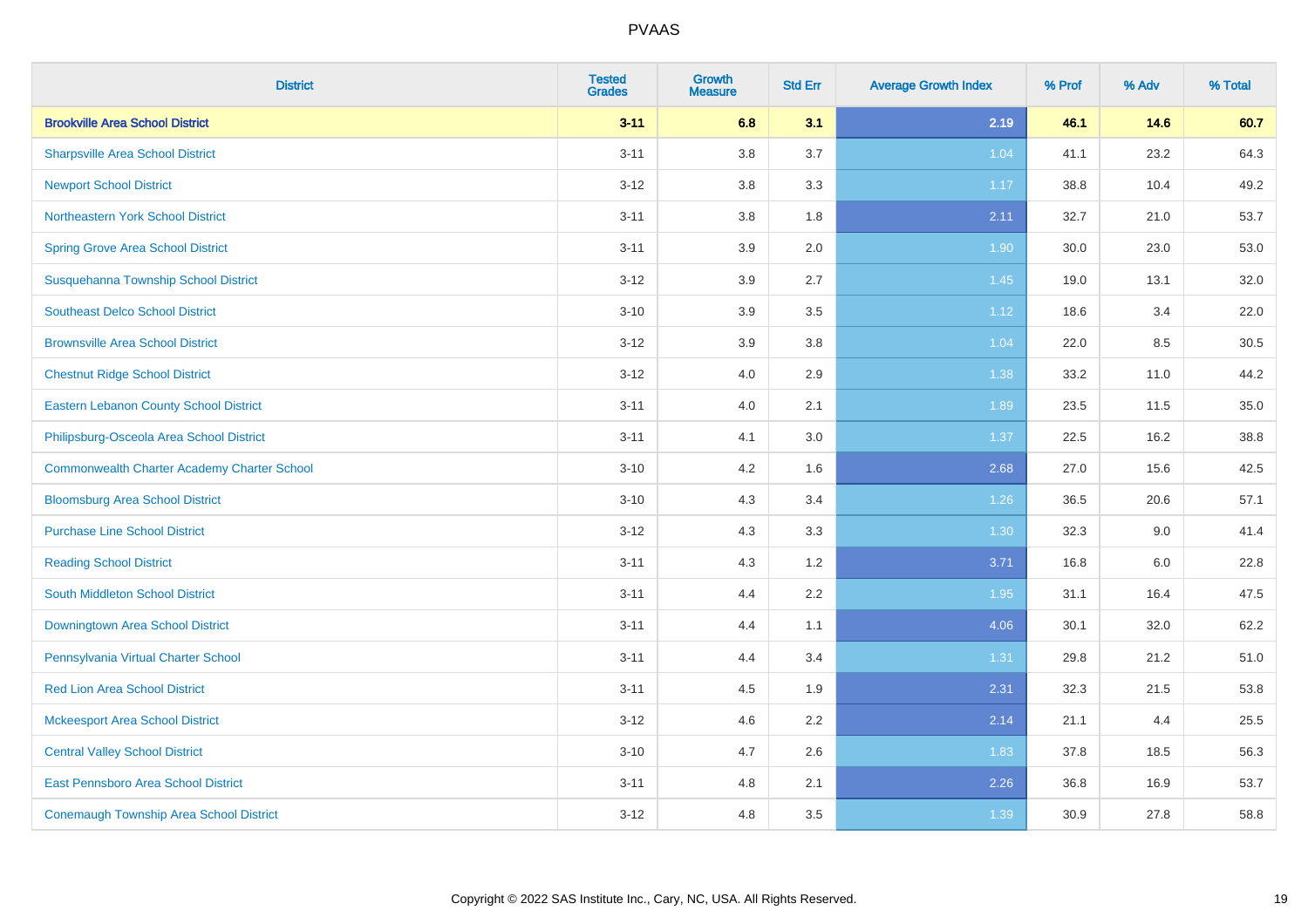| <b>District</b>                                    | <b>Tested</b><br><b>Grades</b> | <b>Growth</b><br><b>Measure</b> | <b>Std Err</b> | <b>Average Growth Index</b> | % Prof | % Adv | % Total |
|----------------------------------------------------|--------------------------------|---------------------------------|----------------|-----------------------------|--------|-------|---------|
| <b>Brookville Area School District</b>             | $3 - 11$                       | 6.8                             | 3.1            | 2.19                        | 46.1   | 14.6  | 60.7    |
| <b>Sharpsville Area School District</b>            | $3 - 11$                       | 3.8                             | 3.7            | 1.04                        | 41.1   | 23.2  | 64.3    |
| <b>Newport School District</b>                     | $3 - 12$                       | 3.8                             | 3.3            | 1.17                        | 38.8   | 10.4  | 49.2    |
| Northeastern York School District                  | $3 - 11$                       | 3.8                             | 1.8            | 2.11                        | 32.7   | 21.0  | 53.7    |
| <b>Spring Grove Area School District</b>           | $3 - 11$                       | 3.9                             | 2.0            | 1.90                        | 30.0   | 23.0  | 53.0    |
| Susquehanna Township School District               | $3 - 12$                       | 3.9                             | 2.7            | 1.45                        | 19.0   | 13.1  | 32.0    |
| <b>Southeast Delco School District</b>             | $3 - 10$                       | 3.9                             | 3.5            | 1.12                        | 18.6   | 3.4   | 22.0    |
| <b>Brownsville Area School District</b>            | $3 - 12$                       | 3.9                             | 3.8            | 1.04                        | 22.0   | 8.5   | 30.5    |
| <b>Chestnut Ridge School District</b>              | $3 - 12$                       | 4.0                             | 2.9            | 1.38                        | 33.2   | 11.0  | 44.2    |
| <b>Eastern Lebanon County School District</b>      | $3 - 11$                       | 4.0                             | 2.1            | 1.89                        | 23.5   | 11.5  | 35.0    |
| Philipsburg-Osceola Area School District           | $3 - 11$                       | 4.1                             | 3.0            | 1.37                        | 22.5   | 16.2  | 38.8    |
| <b>Commonwealth Charter Academy Charter School</b> | $3 - 10$                       | 4.2                             | 1.6            | 2.68                        | 27.0   | 15.6  | 42.5    |
| <b>Bloomsburg Area School District</b>             | $3 - 10$                       | 4.3                             | 3.4            | 1.26                        | 36.5   | 20.6  | 57.1    |
| <b>Purchase Line School District</b>               | $3 - 12$                       | 4.3                             | 3.3            | 1.30                        | 32.3   | 9.0   | 41.4    |
| <b>Reading School District</b>                     | $3 - 11$                       | 4.3                             | 1.2            | 3.71                        | 16.8   | 6.0   | 22.8    |
| South Middleton School District                    | $3 - 11$                       | 4.4                             | 2.2            | 1.95                        | 31.1   | 16.4  | 47.5    |
| <b>Downingtown Area School District</b>            | $3 - 11$                       | 4.4                             | 1.1            | 4.06                        | 30.1   | 32.0  | 62.2    |
| Pennsylvania Virtual Charter School                | $3 - 11$                       | 4.4                             | 3.4            | 1.31                        | 29.8   | 21.2  | 51.0    |
| <b>Red Lion Area School District</b>               | $3 - 11$                       | 4.5                             | 1.9            | 2.31                        | 32.3   | 21.5  | 53.8    |
| <b>Mckeesport Area School District</b>             | $3 - 12$                       | 4.6                             | 2.2            | 2.14                        | 21.1   | 4.4   | 25.5    |
| <b>Central Valley School District</b>              | $3 - 10$                       | 4.7                             | 2.6            | 1.83                        | 37.8   | 18.5  | 56.3    |
| <b>East Pennsboro Area School District</b>         | $3 - 11$                       | 4.8                             | 2.1            | 2.26                        | 36.8   | 16.9  | 53.7    |
| <b>Conemaugh Township Area School District</b>     | $3 - 12$                       | 4.8                             | 3.5            | 1.39                        | 30.9   | 27.8  | 58.8    |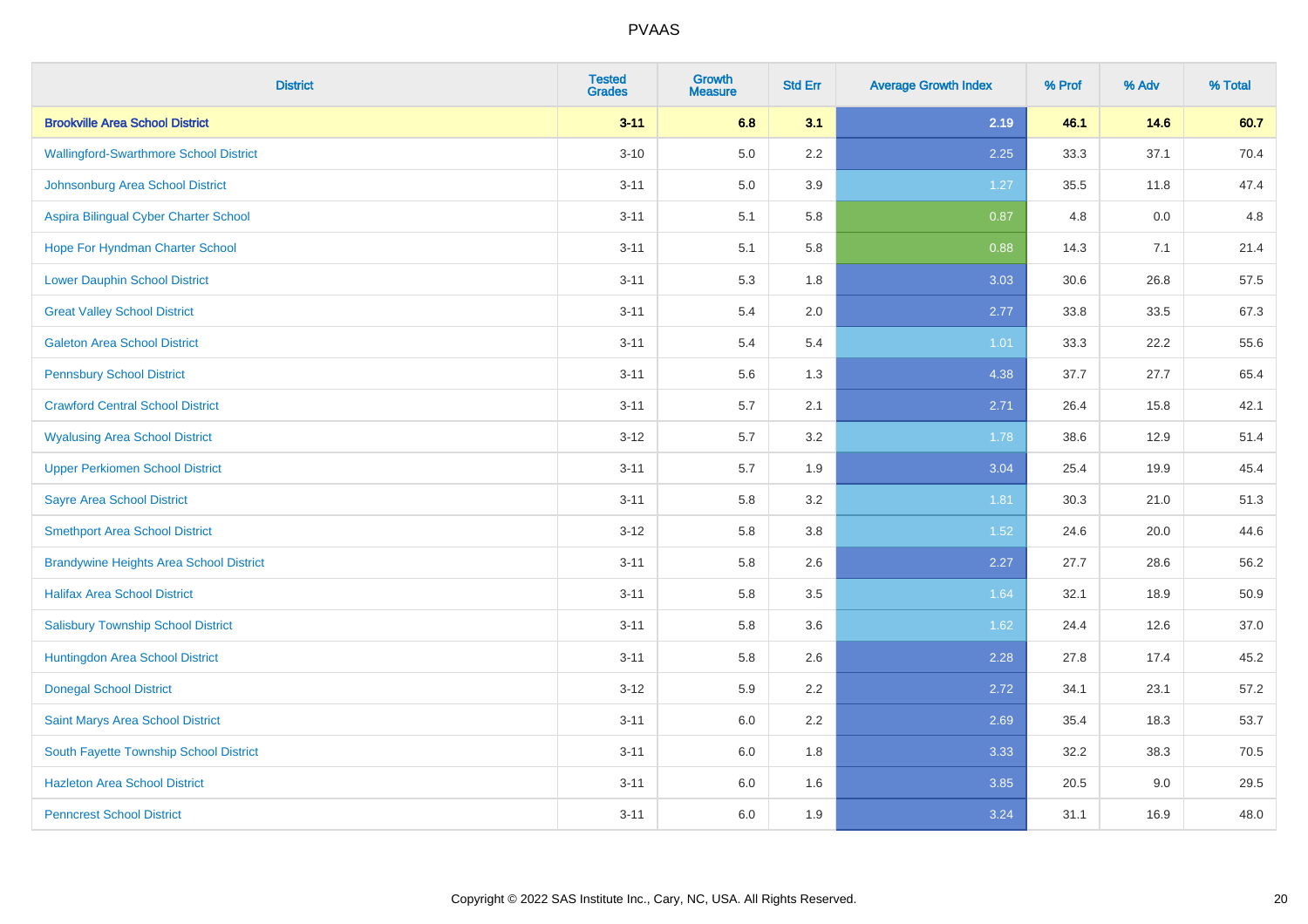| <b>District</b>                                | <b>Tested</b><br><b>Grades</b> | <b>Growth</b><br><b>Measure</b> | <b>Std Err</b> | <b>Average Growth Index</b> | % Prof | % Adv | % Total |
|------------------------------------------------|--------------------------------|---------------------------------|----------------|-----------------------------|--------|-------|---------|
| <b>Brookville Area School District</b>         | $3 - 11$                       | 6.8                             | 3.1            | 2.19                        | 46.1   | 14.6  | 60.7    |
| <b>Wallingford-Swarthmore School District</b>  | $3 - 10$                       | $5.0\,$                         | 2.2            | 2.25                        | 33.3   | 37.1  | 70.4    |
| Johnsonburg Area School District               | $3 - 11$                       | 5.0                             | 3.9            | 1.27                        | 35.5   | 11.8  | 47.4    |
| Aspira Bilingual Cyber Charter School          | $3 - 11$                       | 5.1                             | 5.8            | 0.87                        | 4.8    | 0.0   | 4.8     |
| Hope For Hyndman Charter School                | $3 - 11$                       | 5.1                             | 5.8            | 0.88                        | 14.3   | 7.1   | 21.4    |
| <b>Lower Dauphin School District</b>           | $3 - 11$                       | 5.3                             | 1.8            | 3.03                        | 30.6   | 26.8  | 57.5    |
| <b>Great Valley School District</b>            | $3 - 11$                       | 5.4                             | 2.0            | 2.77                        | 33.8   | 33.5  | 67.3    |
| <b>Galeton Area School District</b>            | $3 - 11$                       | 5.4                             | 5.4            | 1.01                        | 33.3   | 22.2  | 55.6    |
| <b>Pennsbury School District</b>               | $3 - 11$                       | 5.6                             | 1.3            | 4.38                        | 37.7   | 27.7  | 65.4    |
| <b>Crawford Central School District</b>        | $3 - 11$                       | 5.7                             | 2.1            | 2.71                        | 26.4   | 15.8  | 42.1    |
| <b>Wyalusing Area School District</b>          | $3 - 12$                       | 5.7                             | 3.2            | 1.78                        | 38.6   | 12.9  | 51.4    |
| <b>Upper Perkiomen School District</b>         | $3 - 11$                       | 5.7                             | 1.9            | 3.04                        | 25.4   | 19.9  | 45.4    |
| <b>Sayre Area School District</b>              | $3 - 11$                       | 5.8                             | 3.2            | 1.81                        | 30.3   | 21.0  | 51.3    |
| <b>Smethport Area School District</b>          | $3 - 12$                       | 5.8                             | 3.8            | 1.52                        | 24.6   | 20.0  | 44.6    |
| <b>Brandywine Heights Area School District</b> | $3 - 11$                       | 5.8                             | 2.6            | 2.27                        | 27.7   | 28.6  | 56.2    |
| <b>Halifax Area School District</b>            | $3 - 11$                       | 5.8                             | 3.5            | 1.64                        | 32.1   | 18.9  | 50.9    |
| <b>Salisbury Township School District</b>      | $3 - 11$                       | 5.8                             | 3.6            | 1.62                        | 24.4   | 12.6  | 37.0    |
| Huntingdon Area School District                | $3 - 11$                       | 5.8                             | 2.6            | 2.28                        | 27.8   | 17.4  | 45.2    |
| <b>Donegal School District</b>                 | $3 - 12$                       | 5.9                             | 2.2            | 2.72                        | 34.1   | 23.1  | 57.2    |
| Saint Marys Area School District               | $3 - 11$                       | 6.0                             | 2.2            | 2.69                        | 35.4   | 18.3  | 53.7    |
| South Fayette Township School District         | $3 - 11$                       | 6.0                             | 1.8            | 3.33                        | 32.2   | 38.3  | 70.5    |
| <b>Hazleton Area School District</b>           | $3 - 11$                       | 6.0                             | 1.6            | 3.85                        | 20.5   | 9.0   | 29.5    |
| <b>Penncrest School District</b>               | $3 - 11$                       | 6.0                             | 1.9            | 3.24                        | 31.1   | 16.9  | 48.0    |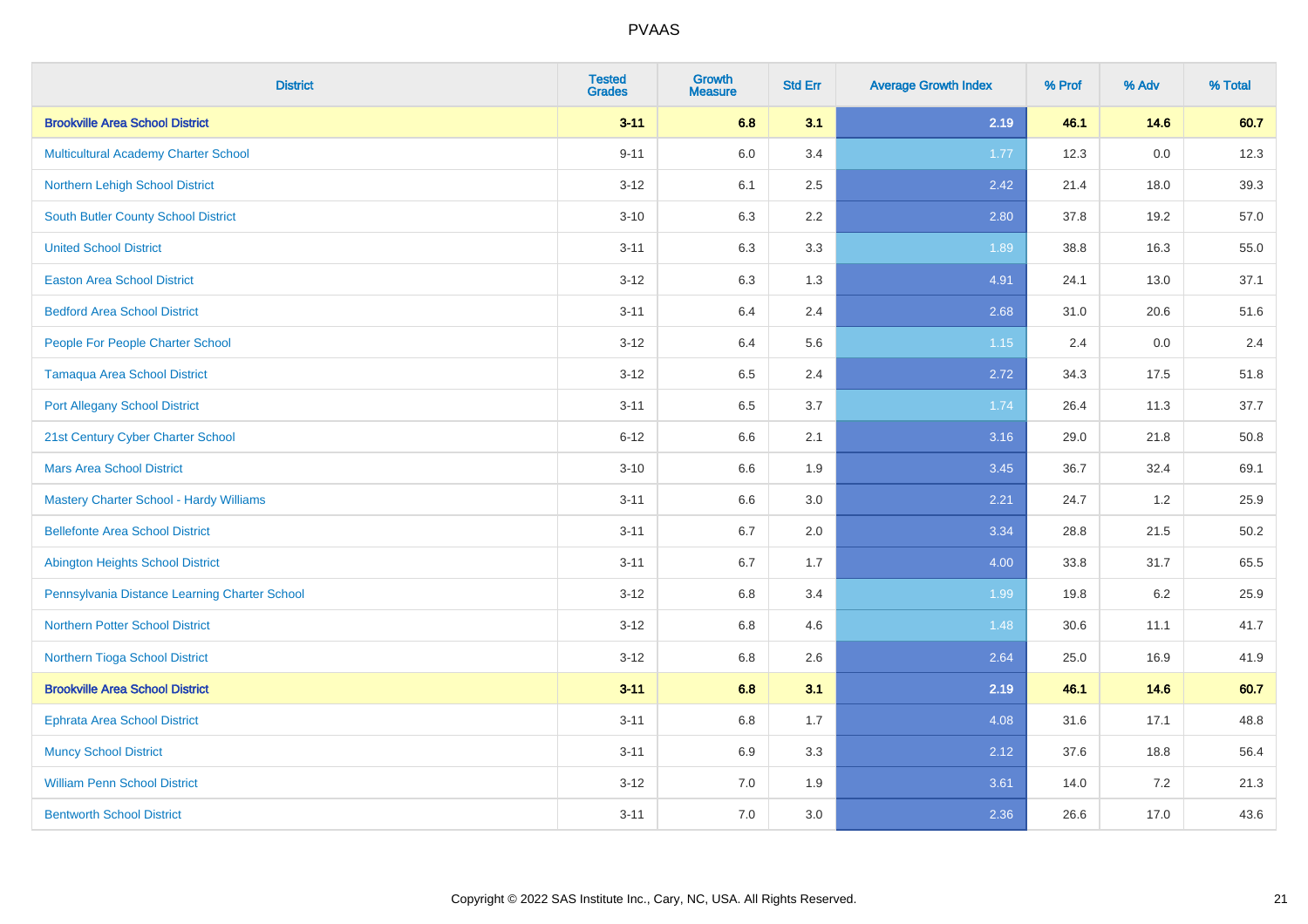| <b>District</b>                               | <b>Tested</b><br><b>Grades</b> | <b>Growth</b><br><b>Measure</b> | <b>Std Err</b> | <b>Average Growth Index</b> | % Prof | % Adv | % Total |
|-----------------------------------------------|--------------------------------|---------------------------------|----------------|-----------------------------|--------|-------|---------|
| <b>Brookville Area School District</b>        | $3 - 11$                       | 6.8                             | 3.1            | 2.19                        | 46.1   | 14.6  | 60.7    |
| <b>Multicultural Academy Charter School</b>   | $9 - 11$                       | 6.0                             | 3.4            | 1.77                        | 12.3   | 0.0   | 12.3    |
| Northern Lehigh School District               | $3-12$                         | 6.1                             | 2.5            | 2.42                        | 21.4   | 18.0  | 39.3    |
| South Butler County School District           | $3 - 10$                       | 6.3                             | 2.2            | 2.80                        | 37.8   | 19.2  | 57.0    |
| <b>United School District</b>                 | $3 - 11$                       | 6.3                             | 3.3            | 1.89                        | 38.8   | 16.3  | 55.0    |
| <b>Easton Area School District</b>            | $3-12$                         | 6.3                             | 1.3            | 4.91                        | 24.1   | 13.0  | 37.1    |
| <b>Bedford Area School District</b>           | $3 - 11$                       | 6.4                             | 2.4            | 2.68                        | 31.0   | 20.6  | 51.6    |
| People For People Charter School              | $3 - 12$                       | 6.4                             | 5.6            | 1.15                        | 2.4    | 0.0   | 2.4     |
| <b>Tamaqua Area School District</b>           | $3-12$                         | 6.5                             | 2.4            | 2.72                        | 34.3   | 17.5  | 51.8    |
| <b>Port Allegany School District</b>          | $3 - 11$                       | 6.5                             | 3.7            | 1.74                        | 26.4   | 11.3  | 37.7    |
| 21st Century Cyber Charter School             | $6 - 12$                       | 6.6                             | 2.1            | 3.16                        | 29.0   | 21.8  | 50.8    |
| <b>Mars Area School District</b>              | $3 - 10$                       | 6.6                             | 1.9            | 3.45                        | 36.7   | 32.4  | 69.1    |
| Mastery Charter School - Hardy Williams       | $3 - 11$                       | 6.6                             | 3.0            | 2.21                        | 24.7   | 1.2   | 25.9    |
| <b>Bellefonte Area School District</b>        | $3 - 11$                       | 6.7                             | 2.0            | 3.34                        | 28.8   | 21.5  | 50.2    |
| <b>Abington Heights School District</b>       | $3 - 11$                       | 6.7                             | 1.7            | 4.00                        | 33.8   | 31.7  | 65.5    |
| Pennsylvania Distance Learning Charter School | $3 - 12$                       | 6.8                             | 3.4            | 1.99                        | 19.8   | 6.2   | 25.9    |
| <b>Northern Potter School District</b>        | $3-12$                         | 6.8                             | 4.6            | 1.48                        | 30.6   | 11.1  | 41.7    |
| Northern Tioga School District                | $3 - 12$                       | $6.8\,$                         | 2.6            | 2.64                        | 25.0   | 16.9  | 41.9    |
| <b>Brookville Area School District</b>        | $3 - 11$                       | 6.8                             | 3.1            | 2.19                        | 46.1   | 14.6  | 60.7    |
| <b>Ephrata Area School District</b>           | $3 - 11$                       | 6.8                             | 1.7            | 4.08                        | 31.6   | 17.1  | 48.8    |
| <b>Muncy School District</b>                  | $3 - 11$                       | 6.9                             | 3.3            | 2.12                        | 37.6   | 18.8  | 56.4    |
| <b>William Penn School District</b>           | $3 - 12$                       | 7.0                             | 1.9            | 3.61                        | 14.0   | 7.2   | 21.3    |
| <b>Bentworth School District</b>              | $3 - 11$                       | 7.0                             | $3.0\,$        | 2.36                        | 26.6   | 17.0  | 43.6    |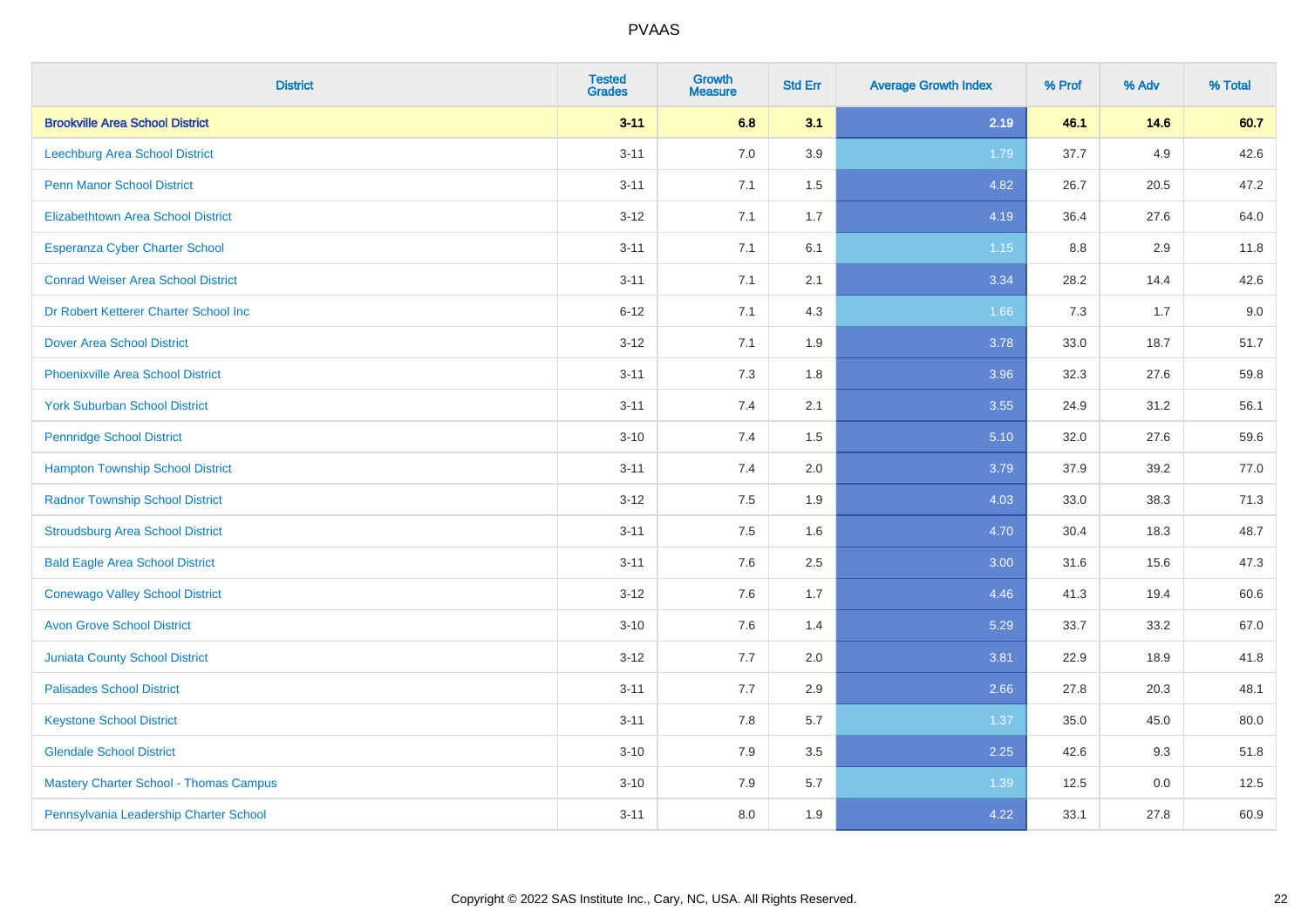| <b>District</b>                               | <b>Tested</b><br><b>Grades</b> | <b>Growth</b><br><b>Measure</b> | <b>Std Err</b> | <b>Average Growth Index</b> | % Prof | % Adv | % Total |
|-----------------------------------------------|--------------------------------|---------------------------------|----------------|-----------------------------|--------|-------|---------|
| <b>Brookville Area School District</b>        | $3 - 11$                       | 6.8                             | 3.1            | 2.19                        | 46.1   | 14.6  | 60.7    |
| Leechburg Area School District                | $3 - 11$                       | 7.0                             | 3.9            | 1.79                        | 37.7   | 4.9   | 42.6    |
| <b>Penn Manor School District</b>             | $3 - 11$                       | 7.1                             | 1.5            | 4.82                        | 26.7   | 20.5  | 47.2    |
| <b>Elizabethtown Area School District</b>     | $3 - 12$                       | 7.1                             | 1.7            | 4.19                        | 36.4   | 27.6  | 64.0    |
| <b>Esperanza Cyber Charter School</b>         | $3 - 11$                       | 7.1                             | 6.1            | $1.15$                      | 8.8    | 2.9   | 11.8    |
| <b>Conrad Weiser Area School District</b>     | $3 - 11$                       | 7.1                             | 2.1            | 3.34                        | 28.2   | 14.4  | 42.6    |
| Dr Robert Ketterer Charter School Inc         | $6 - 12$                       | 7.1                             | 4.3            | 1.66                        | 7.3    | 1.7   | 9.0     |
| <b>Dover Area School District</b>             | $3 - 12$                       | 7.1                             | 1.9            | 3.78                        | 33.0   | 18.7  | 51.7    |
| <b>Phoenixville Area School District</b>      | $3 - 11$                       | 7.3                             | 1.8            | 3.96                        | 32.3   | 27.6  | 59.8    |
| <b>York Suburban School District</b>          | $3 - 11$                       | 7.4                             | 2.1            | 3.55                        | 24.9   | 31.2  | 56.1    |
| <b>Pennridge School District</b>              | $3 - 10$                       | 7.4                             | 1.5            | 5.10                        | 32.0   | 27.6  | 59.6    |
| <b>Hampton Township School District</b>       | $3 - 11$                       | 7.4                             | 2.0            | 3.79                        | 37.9   | 39.2  | 77.0    |
| <b>Radnor Township School District</b>        | $3 - 12$                       | 7.5                             | 1.9            | 4.03                        | 33.0   | 38.3  | 71.3    |
| <b>Stroudsburg Area School District</b>       | $3 - 11$                       | 7.5                             | 1.6            | 4.70                        | 30.4   | 18.3  | 48.7    |
| <b>Bald Eagle Area School District</b>        | $3 - 11$                       | 7.6                             | 2.5            | 3.00                        | 31.6   | 15.6  | 47.3    |
| <b>Conewago Valley School District</b>        | $3 - 12$                       | 7.6                             | 1.7            | 4.46                        | 41.3   | 19.4  | 60.6    |
| <b>Avon Grove School District</b>             | $3 - 10$                       | 7.6                             | 1.4            | 5.29                        | 33.7   | 33.2  | 67.0    |
| <b>Juniata County School District</b>         | $3 - 12$                       | 7.7                             | 2.0            | 3.81                        | 22.9   | 18.9  | 41.8    |
| <b>Palisades School District</b>              | $3 - 11$                       | 7.7                             | 2.9            | 2.66                        | 27.8   | 20.3  | 48.1    |
| <b>Keystone School District</b>               | $3 - 11$                       | 7.8                             | 5.7            | 1.37                        | 35.0   | 45.0  | 80.0    |
| <b>Glendale School District</b>               | $3 - 10$                       | 7.9                             | $3.5\,$        | 2.25                        | 42.6   | 9.3   | 51.8    |
| <b>Mastery Charter School - Thomas Campus</b> | $3 - 10$                       | 7.9                             | 5.7            | 1.39                        | 12.5   | 0.0   | 12.5    |
| Pennsylvania Leadership Charter School        | $3 - 11$                       | 8.0                             | 1.9            | 4.22                        | 33.1   | 27.8  | 60.9    |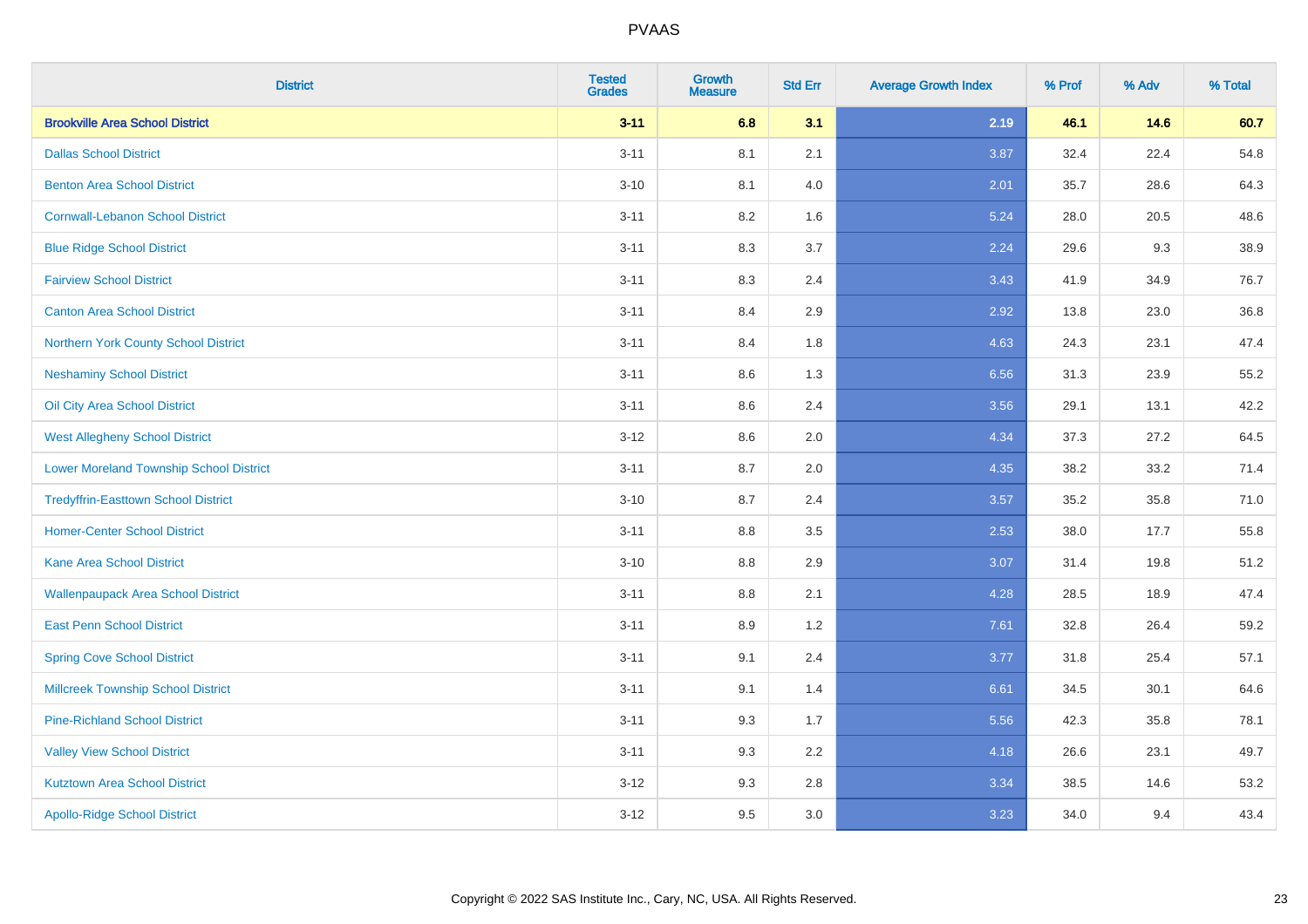| <b>District</b>                                | <b>Tested</b><br><b>Grades</b> | <b>Growth</b><br><b>Measure</b> | <b>Std Err</b> | <b>Average Growth Index</b> | % Prof | % Adv | % Total |
|------------------------------------------------|--------------------------------|---------------------------------|----------------|-----------------------------|--------|-------|---------|
| <b>Brookville Area School District</b>         | $3 - 11$                       | 6.8                             | 3.1            | 2.19                        | 46.1   | 14.6  | 60.7    |
| <b>Dallas School District</b>                  | $3 - 11$                       | 8.1                             | 2.1            | 3.87                        | 32.4   | 22.4  | 54.8    |
| <b>Benton Area School District</b>             | $3 - 10$                       | 8.1                             | 4.0            | 2.01                        | 35.7   | 28.6  | 64.3    |
| <b>Cornwall-Lebanon School District</b>        | $3 - 11$                       | 8.2                             | 1.6            | 5.24                        | 28.0   | 20.5  | 48.6    |
| <b>Blue Ridge School District</b>              | $3 - 11$                       | 8.3                             | 3.7            | 2.24                        | 29.6   | 9.3   | 38.9    |
| <b>Fairview School District</b>                | $3 - 11$                       | 8.3                             | 2.4            | 3.43                        | 41.9   | 34.9  | 76.7    |
| <b>Canton Area School District</b>             | $3 - 11$                       | 8.4                             | 2.9            | 2.92                        | 13.8   | 23.0  | 36.8    |
| Northern York County School District           | $3 - 11$                       | 8.4                             | 1.8            | 4.63                        | 24.3   | 23.1  | 47.4    |
| <b>Neshaminy School District</b>               | $3 - 11$                       | 8.6                             | 1.3            | 6.56                        | 31.3   | 23.9  | 55.2    |
| Oil City Area School District                  | $3 - 11$                       | 8.6                             | 2.4            | 3.56                        | 29.1   | 13.1  | 42.2    |
| <b>West Allegheny School District</b>          | $3 - 12$                       | 8.6                             | 2.0            | 4.34                        | 37.3   | 27.2  | 64.5    |
| <b>Lower Moreland Township School District</b> | $3 - 11$                       | 8.7                             | 2.0            | 4.35                        | 38.2   | 33.2  | 71.4    |
| <b>Tredyffrin-Easttown School District</b>     | $3 - 10$                       | 8.7                             | 2.4            | 3.57                        | 35.2   | 35.8  | 71.0    |
| <b>Homer-Center School District</b>            | $3 - 11$                       | 8.8                             | 3.5            | 2.53                        | 38.0   | 17.7  | 55.8    |
| <b>Kane Area School District</b>               | $3 - 10$                       | 8.8                             | 2.9            | 3.07                        | 31.4   | 19.8  | 51.2    |
| <b>Wallenpaupack Area School District</b>      | $3 - 11$                       | $8.8\,$                         | 2.1            | 4.28                        | 28.5   | 18.9  | 47.4    |
| <b>East Penn School District</b>               | $3 - 11$                       | 8.9                             | 1.2            | 7.61                        | 32.8   | 26.4  | 59.2    |
| <b>Spring Cove School District</b>             | $3 - 11$                       | 9.1                             | 2.4            | 3.77                        | 31.8   | 25.4  | 57.1    |
| <b>Millcreek Township School District</b>      | $3 - 11$                       | 9.1                             | 1.4            | 6.61                        | 34.5   | 30.1  | 64.6    |
| <b>Pine-Richland School District</b>           | $3 - 11$                       | 9.3                             | 1.7            | 5.56                        | 42.3   | 35.8  | 78.1    |
| <b>Valley View School District</b>             | $3 - 11$                       | 9.3                             | 2.2            | 4.18                        | 26.6   | 23.1  | 49.7    |
| <b>Kutztown Area School District</b>           | $3 - 12$                       | 9.3                             | 2.8            | 3.34                        | 38.5   | 14.6  | 53.2    |
| <b>Apollo-Ridge School District</b>            | $3 - 12$                       | 9.5                             | 3.0            | 3.23                        | 34.0   | 9.4   | 43.4    |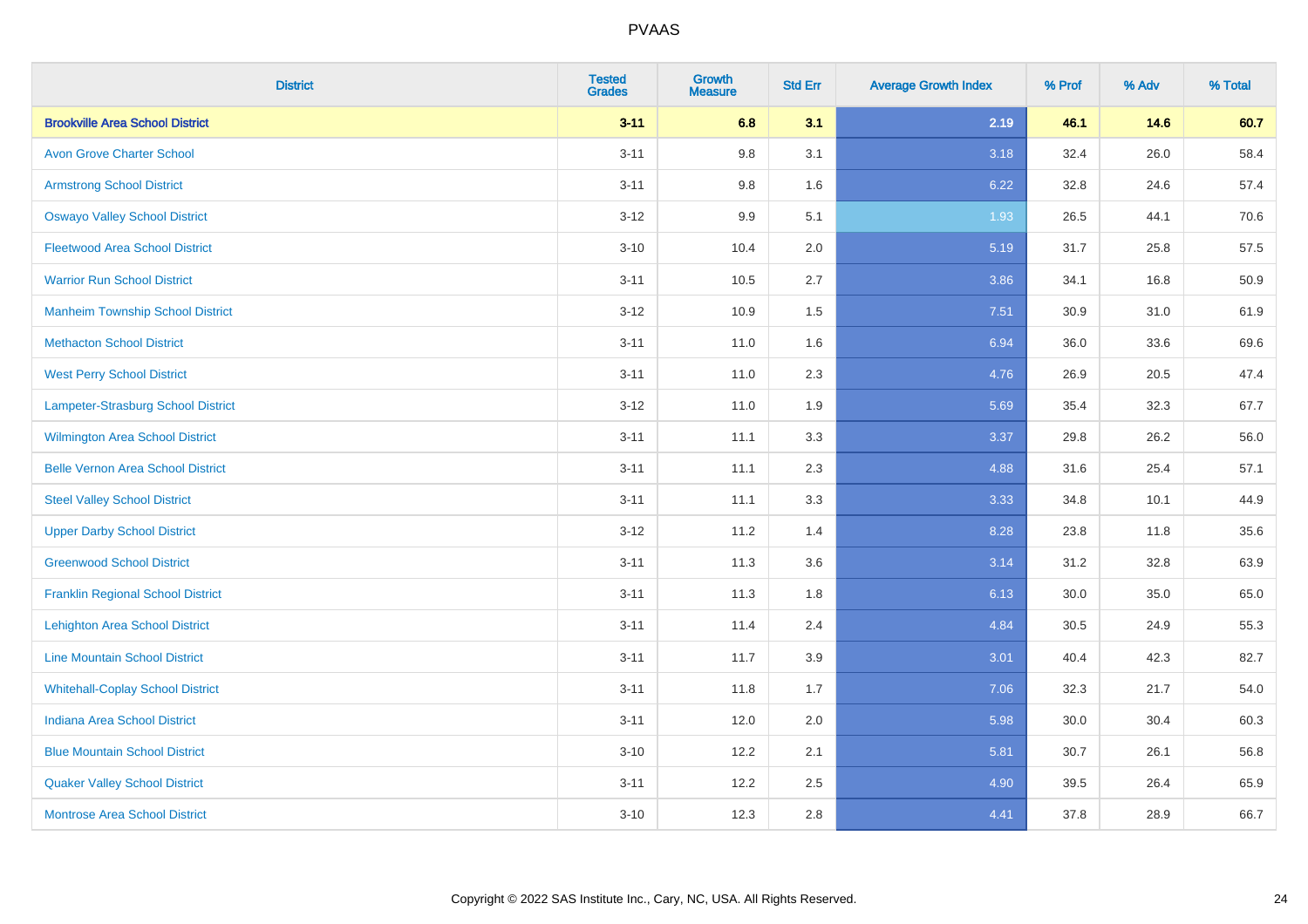| <b>District</b>                          | <b>Tested</b><br><b>Grades</b> | <b>Growth</b><br><b>Measure</b> | <b>Std Err</b> | <b>Average Growth Index</b> | % Prof | % Adv | % Total |
|------------------------------------------|--------------------------------|---------------------------------|----------------|-----------------------------|--------|-------|---------|
| <b>Brookville Area School District</b>   | $3 - 11$                       | 6.8                             | 3.1            | 2.19                        | 46.1   | 14.6  | 60.7    |
| <b>Avon Grove Charter School</b>         | $3 - 11$                       | 9.8                             | 3.1            | 3.18                        | 32.4   | 26.0  | 58.4    |
| <b>Armstrong School District</b>         | $3 - 11$                       | 9.8                             | 1.6            | 6.22                        | 32.8   | 24.6  | 57.4    |
| <b>Oswayo Valley School District</b>     | $3 - 12$                       | 9.9                             | 5.1            | 1.93                        | 26.5   | 44.1  | 70.6    |
| <b>Fleetwood Area School District</b>    | $3 - 10$                       | 10.4                            | 2.0            | 5.19                        | 31.7   | 25.8  | 57.5    |
| <b>Warrior Run School District</b>       | $3 - 11$                       | 10.5                            | 2.7            | 3.86                        | 34.1   | 16.8  | 50.9    |
| <b>Manheim Township School District</b>  | $3-12$                         | 10.9                            | 1.5            | 7.51                        | 30.9   | 31.0  | 61.9    |
| <b>Methacton School District</b>         | $3 - 11$                       | 11.0                            | 1.6            | 6.94                        | 36.0   | 33.6  | 69.6    |
| <b>West Perry School District</b>        | $3 - 11$                       | 11.0                            | 2.3            | 4.76                        | 26.9   | 20.5  | 47.4    |
| Lampeter-Strasburg School District       | $3 - 12$                       | 11.0                            | 1.9            | 5.69                        | 35.4   | 32.3  | 67.7    |
| <b>Wilmington Area School District</b>   | $3 - 11$                       | 11.1                            | 3.3            | 3.37                        | 29.8   | 26.2  | 56.0    |
| <b>Belle Vernon Area School District</b> | $3 - 11$                       | 11.1                            | 2.3            | 4.88                        | 31.6   | 25.4  | 57.1    |
| <b>Steel Valley School District</b>      | $3 - 11$                       | 11.1                            | 3.3            | 3.33                        | 34.8   | 10.1  | 44.9    |
| <b>Upper Darby School District</b>       | $3 - 12$                       | 11.2                            | 1.4            | 8.28                        | 23.8   | 11.8  | 35.6    |
| <b>Greenwood School District</b>         | $3 - 11$                       | 11.3                            | 3.6            | 3.14                        | 31.2   | 32.8  | 63.9    |
| <b>Franklin Regional School District</b> | $3 - 11$                       | 11.3                            | 1.8            | 6.13                        | 30.0   | 35.0  | 65.0    |
| <b>Lehighton Area School District</b>    | $3 - 11$                       | 11.4                            | 2.4            | 4.84                        | 30.5   | 24.9  | 55.3    |
| <b>Line Mountain School District</b>     | $3 - 11$                       | 11.7                            | 3.9            | 3.01                        | 40.4   | 42.3  | 82.7    |
| <b>Whitehall-Coplay School District</b>  | $3 - 11$                       | 11.8                            | 1.7            | 7.06                        | 32.3   | 21.7  | 54.0    |
| <b>Indiana Area School District</b>      | $3 - 11$                       | 12.0                            | 2.0            | 5.98                        | 30.0   | 30.4  | 60.3    |
| <b>Blue Mountain School District</b>     | $3 - 10$                       | 12.2                            | 2.1            | 5.81                        | 30.7   | 26.1  | 56.8    |
| <b>Quaker Valley School District</b>     | $3 - 11$                       | 12.2                            | 2.5            | 4.90                        | 39.5   | 26.4  | 65.9    |
| <b>Montrose Area School District</b>     | $3 - 10$                       | 12.3                            | 2.8            | 4.41                        | 37.8   | 28.9  | 66.7    |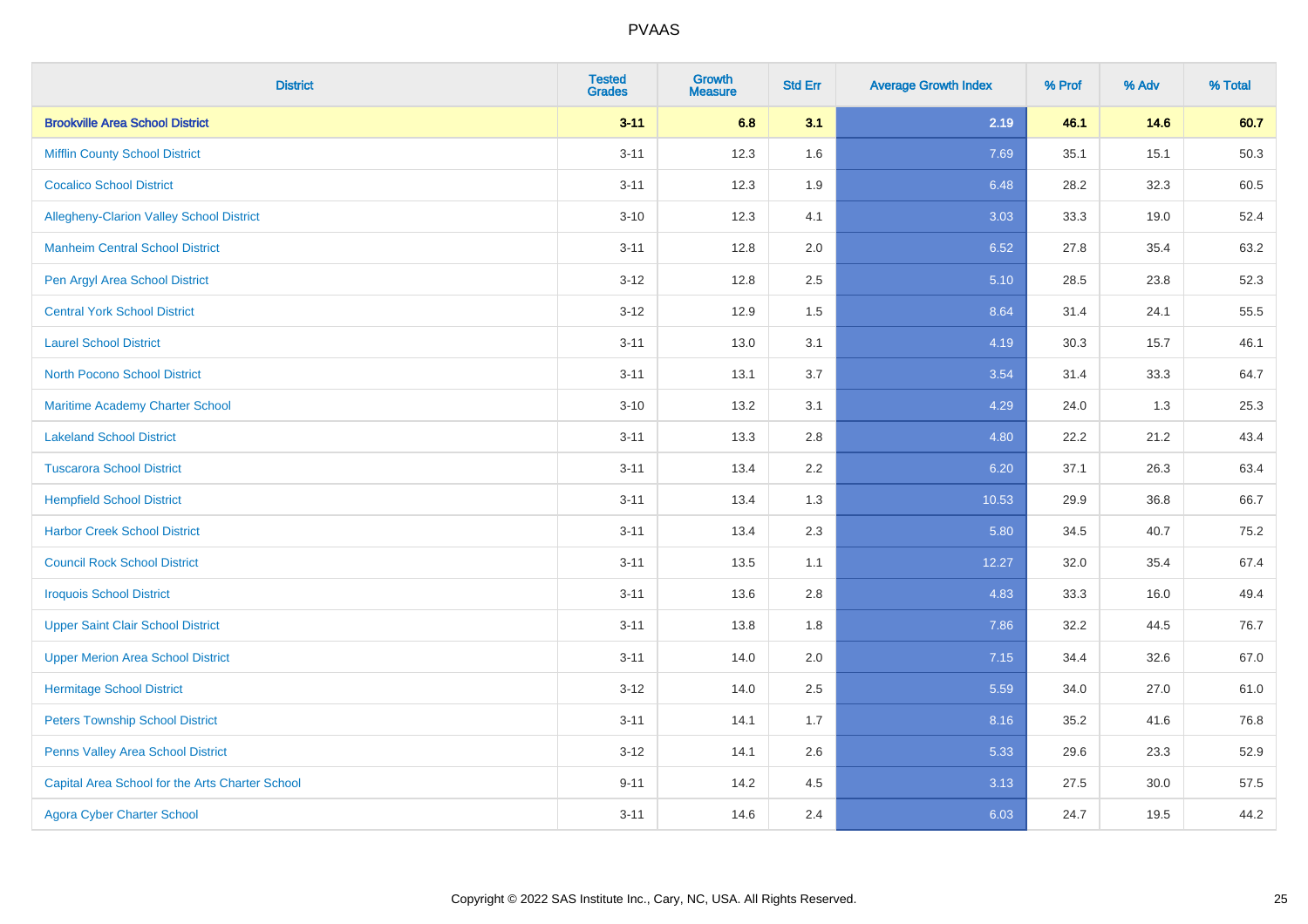| <b>District</b>                                 | <b>Tested</b><br><b>Grades</b> | <b>Growth</b><br><b>Measure</b> | <b>Std Err</b> | <b>Average Growth Index</b> | % Prof | % Adv | % Total |
|-------------------------------------------------|--------------------------------|---------------------------------|----------------|-----------------------------|--------|-------|---------|
| <b>Brookville Area School District</b>          | $3 - 11$                       | 6.8                             | 3.1            | 2.19                        | 46.1   | 14.6  | 60.7    |
| <b>Mifflin County School District</b>           | $3 - 11$                       | 12.3                            | 1.6            | 7.69                        | 35.1   | 15.1  | 50.3    |
| <b>Cocalico School District</b>                 | $3 - 11$                       | 12.3                            | 1.9            | 6.48                        | 28.2   | 32.3  | 60.5    |
| Allegheny-Clarion Valley School District        | $3 - 10$                       | 12.3                            | 4.1            | 3.03                        | 33.3   | 19.0  | 52.4    |
| <b>Manheim Central School District</b>          | $3 - 11$                       | 12.8                            | 2.0            | 6.52                        | 27.8   | 35.4  | 63.2    |
| Pen Argyl Area School District                  | $3 - 12$                       | 12.8                            | 2.5            | 5.10                        | 28.5   | 23.8  | 52.3    |
| <b>Central York School District</b>             | $3 - 12$                       | 12.9                            | 1.5            | 8.64                        | 31.4   | 24.1  | 55.5    |
| <b>Laurel School District</b>                   | $3 - 11$                       | 13.0                            | 3.1            | 4.19                        | 30.3   | 15.7  | 46.1    |
| <b>North Pocono School District</b>             | $3 - 11$                       | 13.1                            | 3.7            | 3.54                        | 31.4   | 33.3  | 64.7    |
| Maritime Academy Charter School                 | $3 - 10$                       | 13.2                            | 3.1            | 4.29                        | 24.0   | 1.3   | 25.3    |
| <b>Lakeland School District</b>                 | $3 - 11$                       | 13.3                            | 2.8            | 4.80                        | 22.2   | 21.2  | 43.4    |
| <b>Tuscarora School District</b>                | $3 - 11$                       | 13.4                            | 2.2            | 6.20                        | 37.1   | 26.3  | 63.4    |
| <b>Hempfield School District</b>                | $3 - 11$                       | 13.4                            | 1.3            | 10.53                       | 29.9   | 36.8  | 66.7    |
| <b>Harbor Creek School District</b>             | $3 - 11$                       | 13.4                            | 2.3            | 5.80                        | 34.5   | 40.7  | 75.2    |
| <b>Council Rock School District</b>             | $3 - 11$                       | 13.5                            | 1.1            | 12.27                       | 32.0   | 35.4  | 67.4    |
| <b>Iroquois School District</b>                 | $3 - 11$                       | 13.6                            | 2.8            | 4.83                        | 33.3   | 16.0  | 49.4    |
| <b>Upper Saint Clair School District</b>        | $3 - 11$                       | 13.8                            | 1.8            | 7.86                        | 32.2   | 44.5  | 76.7    |
| <b>Upper Merion Area School District</b>        | $3 - 11$                       | 14.0                            | 2.0            | 7.15                        | 34.4   | 32.6  | 67.0    |
| <b>Hermitage School District</b>                | $3 - 12$                       | 14.0                            | 2.5            | 5.59                        | 34.0   | 27.0  | 61.0    |
| <b>Peters Township School District</b>          | $3 - 11$                       | 14.1                            | 1.7            | 8.16                        | 35.2   | 41.6  | 76.8    |
| Penns Valley Area School District               | $3 - 12$                       | 14.1                            | 2.6            | 5.33                        | 29.6   | 23.3  | 52.9    |
| Capital Area School for the Arts Charter School | $9 - 11$                       | 14.2                            | 4.5            | 3.13                        | 27.5   | 30.0  | 57.5    |
| <b>Agora Cyber Charter School</b>               | $3 - 11$                       | 14.6                            | 2.4            | 6.03                        | 24.7   | 19.5  | 44.2    |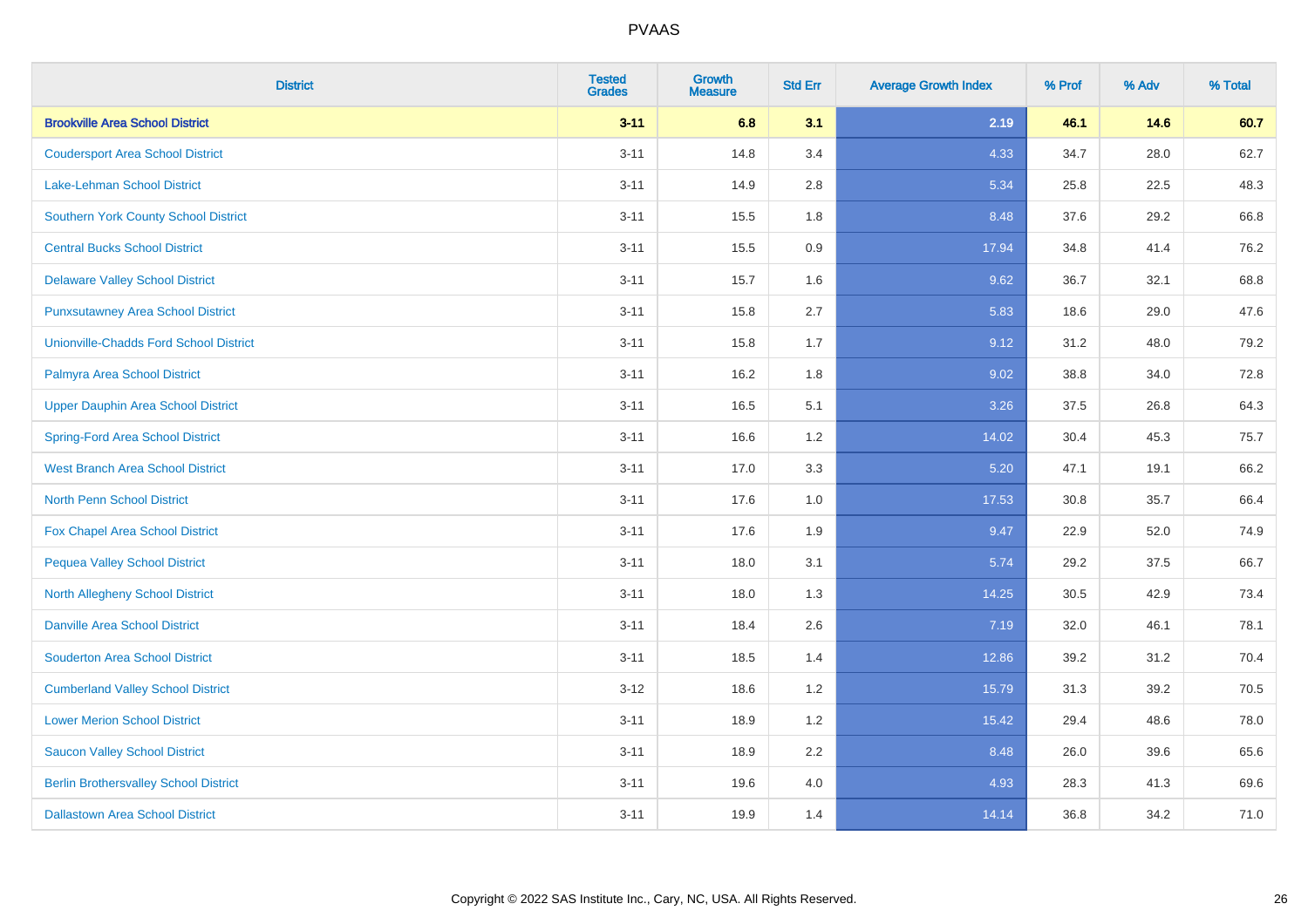| <b>District</b>                               | <b>Tested</b><br><b>Grades</b> | <b>Growth</b><br><b>Measure</b> | <b>Std Err</b> | <b>Average Growth Index</b> | % Prof | % Adv | % Total |
|-----------------------------------------------|--------------------------------|---------------------------------|----------------|-----------------------------|--------|-------|---------|
| <b>Brookville Area School District</b>        | $3 - 11$                       | 6.8                             | 3.1            | 2.19                        | 46.1   | 14.6  | 60.7    |
| <b>Coudersport Area School District</b>       | $3 - 11$                       | 14.8                            | 3.4            | 4.33                        | 34.7   | 28.0  | 62.7    |
| Lake-Lehman School District                   | $3 - 11$                       | 14.9                            | 2.8            | 5.34                        | 25.8   | 22.5  | 48.3    |
| <b>Southern York County School District</b>   | $3 - 11$                       | 15.5                            | 1.8            | 8.48                        | 37.6   | 29.2  | 66.8    |
| <b>Central Bucks School District</b>          | $3 - 11$                       | 15.5                            | 0.9            | 17.94                       | 34.8   | 41.4  | 76.2    |
| <b>Delaware Valley School District</b>        | $3 - 11$                       | 15.7                            | 1.6            | 9.62                        | 36.7   | 32.1  | 68.8    |
| <b>Punxsutawney Area School District</b>      | $3 - 11$                       | 15.8                            | 2.7            | 5.83                        | 18.6   | 29.0  | 47.6    |
| <b>Unionville-Chadds Ford School District</b> | $3 - 11$                       | 15.8                            | 1.7            | 9.12                        | 31.2   | 48.0  | 79.2    |
| Palmyra Area School District                  | $3 - 11$                       | 16.2                            | 1.8            | 9.02                        | 38.8   | 34.0  | 72.8    |
| <b>Upper Dauphin Area School District</b>     | $3 - 11$                       | 16.5                            | 5.1            | 3.26                        | 37.5   | 26.8  | 64.3    |
| <b>Spring-Ford Area School District</b>       | $3 - 11$                       | 16.6                            | 1.2            | 14.02                       | 30.4   | 45.3  | 75.7    |
| <b>West Branch Area School District</b>       | $3 - 11$                       | 17.0                            | 3.3            | 5.20                        | 47.1   | 19.1  | 66.2    |
| North Penn School District                    | $3 - 11$                       | 17.6                            | 1.0            | 17.53                       | 30.8   | 35.7  | 66.4    |
| <b>Fox Chapel Area School District</b>        | $3 - 11$                       | 17.6                            | 1.9            | 9.47                        | 22.9   | 52.0  | 74.9    |
| <b>Pequea Valley School District</b>          | $3 - 11$                       | 18.0                            | 3.1            | 5.74                        | 29.2   | 37.5  | 66.7    |
| North Allegheny School District               | $3 - 11$                       | 18.0                            | 1.3            | 14.25                       | 30.5   | 42.9  | 73.4    |
| <b>Danville Area School District</b>          | $3 - 11$                       | 18.4                            | 2.6            | 7.19                        | 32.0   | 46.1  | 78.1    |
| <b>Souderton Area School District</b>         | $3 - 11$                       | 18.5                            | 1.4            | 12.86                       | 39.2   | 31.2  | 70.4    |
| <b>Cumberland Valley School District</b>      | $3 - 12$                       | 18.6                            | 1.2            | 15.79                       | 31.3   | 39.2  | 70.5    |
| <b>Lower Merion School District</b>           | $3 - 11$                       | 18.9                            | 1.2            | 15.42                       | 29.4   | 48.6  | 78.0    |
| <b>Saucon Valley School District</b>          | $3 - 11$                       | 18.9                            | 2.2            | 8.48                        | 26.0   | 39.6  | 65.6    |
| <b>Berlin Brothersvalley School District</b>  | $3 - 11$                       | 19.6                            | 4.0            | 4.93                        | 28.3   | 41.3  | 69.6    |
| <b>Dallastown Area School District</b>        | $3 - 11$                       | 19.9                            | 1.4            | 14.14                       | 36.8   | 34.2  | 71.0    |